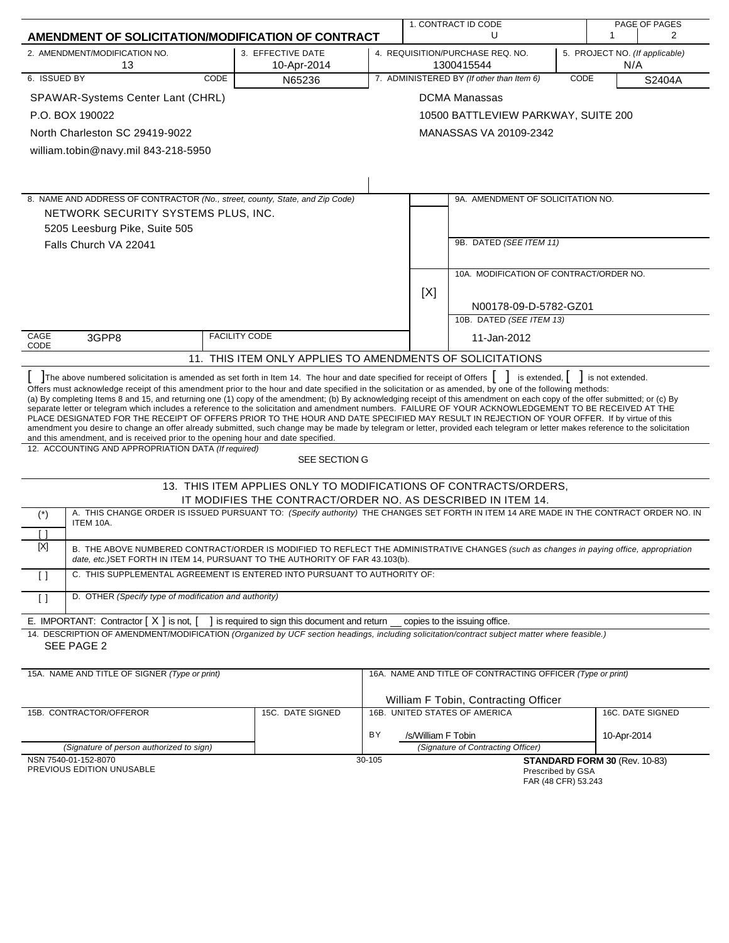|                                                                                                                                                                                                                                                                                                                                                                                                                                                                                                                                                                                                                                                                                                                                                                                                                                                                                                                                                                                                                                                      |                                                                  |                                                                                         |                    | 1. CONTRACT ID CODE<br>PAGE OF PAGES                                  |  |                                             |                  |
|------------------------------------------------------------------------------------------------------------------------------------------------------------------------------------------------------------------------------------------------------------------------------------------------------------------------------------------------------------------------------------------------------------------------------------------------------------------------------------------------------------------------------------------------------------------------------------------------------------------------------------------------------------------------------------------------------------------------------------------------------------------------------------------------------------------------------------------------------------------------------------------------------------------------------------------------------------------------------------------------------------------------------------------------------|------------------------------------------------------------------|-----------------------------------------------------------------------------------------|--------------------|-----------------------------------------------------------------------|--|---------------------------------------------|------------------|
| AMENDMENT OF SOLICITATION/MODIFICATION OF CONTRACT                                                                                                                                                                                                                                                                                                                                                                                                                                                                                                                                                                                                                                                                                                                                                                                                                                                                                                                                                                                                   |                                                                  |                                                                                         |                    | U                                                                     |  | 1                                           | 2                |
| 2. AMENDMENT/MODIFICATION NO.<br>13                                                                                                                                                                                                                                                                                                                                                                                                                                                                                                                                                                                                                                                                                                                                                                                                                                                                                                                                                                                                                  | 3. EFFECTIVE DATE<br>10-Apr-2014                                 | 4. REQUISITION/PURCHASE REQ. NO.<br>5. PROJECT NO. (If applicable)<br>1300415544<br>N/A |                    |                                                                       |  |                                             |                  |
| 6. ISSUED BY<br>CODE                                                                                                                                                                                                                                                                                                                                                                                                                                                                                                                                                                                                                                                                                                                                                                                                                                                                                                                                                                                                                                 | N65236                                                           | 7. ADMINISTERED BY (If other than Item 6)<br>CODE<br>S2404A                             |                    |                                                                       |  |                                             |                  |
| SPAWAR-Systems Center Lant (CHRL)                                                                                                                                                                                                                                                                                                                                                                                                                                                                                                                                                                                                                                                                                                                                                                                                                                                                                                                                                                                                                    |                                                                  |                                                                                         |                    | <b>DCMA Manassas</b>                                                  |  |                                             |                  |
| P.O. BOX 190022                                                                                                                                                                                                                                                                                                                                                                                                                                                                                                                                                                                                                                                                                                                                                                                                                                                                                                                                                                                                                                      |                                                                  |                                                                                         |                    | 10500 BATTLEVIEW PARKWAY, SUITE 200                                   |  |                                             |                  |
| North Charleston SC 29419-9022                                                                                                                                                                                                                                                                                                                                                                                                                                                                                                                                                                                                                                                                                                                                                                                                                                                                                                                                                                                                                       |                                                                  |                                                                                         |                    | MANASSAS VA 20109-2342                                                |  |                                             |                  |
| william.tobin@navy.mil 843-218-5950                                                                                                                                                                                                                                                                                                                                                                                                                                                                                                                                                                                                                                                                                                                                                                                                                                                                                                                                                                                                                  |                                                                  |                                                                                         |                    |                                                                       |  |                                             |                  |
|                                                                                                                                                                                                                                                                                                                                                                                                                                                                                                                                                                                                                                                                                                                                                                                                                                                                                                                                                                                                                                                      |                                                                  |                                                                                         |                    |                                                                       |  |                                             |                  |
|                                                                                                                                                                                                                                                                                                                                                                                                                                                                                                                                                                                                                                                                                                                                                                                                                                                                                                                                                                                                                                                      |                                                                  |                                                                                         |                    |                                                                       |  |                                             |                  |
| 8. NAME AND ADDRESS OF CONTRACTOR (No., street, county, State, and Zip Code)                                                                                                                                                                                                                                                                                                                                                                                                                                                                                                                                                                                                                                                                                                                                                                                                                                                                                                                                                                         |                                                                  |                                                                                         |                    | 9A. AMENDMENT OF SOLICITATION NO.                                     |  |                                             |                  |
| NETWORK SECURITY SYSTEMS PLUS, INC.                                                                                                                                                                                                                                                                                                                                                                                                                                                                                                                                                                                                                                                                                                                                                                                                                                                                                                                                                                                                                  |                                                                  |                                                                                         |                    |                                                                       |  |                                             |                  |
| 5205 Leesburg Pike, Suite 505                                                                                                                                                                                                                                                                                                                                                                                                                                                                                                                                                                                                                                                                                                                                                                                                                                                                                                                                                                                                                        |                                                                  |                                                                                         |                    |                                                                       |  |                                             |                  |
| Falls Church VA 22041                                                                                                                                                                                                                                                                                                                                                                                                                                                                                                                                                                                                                                                                                                                                                                                                                                                                                                                                                                                                                                |                                                                  |                                                                                         |                    | 9B. DATED (SEE ITEM 11)                                               |  |                                             |                  |
|                                                                                                                                                                                                                                                                                                                                                                                                                                                                                                                                                                                                                                                                                                                                                                                                                                                                                                                                                                                                                                                      |                                                                  |                                                                                         |                    | 10A. MODIFICATION OF CONTRACT/ORDER NO.                               |  |                                             |                  |
|                                                                                                                                                                                                                                                                                                                                                                                                                                                                                                                                                                                                                                                                                                                                                                                                                                                                                                                                                                                                                                                      |                                                                  |                                                                                         | [X]                |                                                                       |  |                                             |                  |
|                                                                                                                                                                                                                                                                                                                                                                                                                                                                                                                                                                                                                                                                                                                                                                                                                                                                                                                                                                                                                                                      |                                                                  |                                                                                         |                    | N00178-09-D-5782-GZ01                                                 |  |                                             |                  |
|                                                                                                                                                                                                                                                                                                                                                                                                                                                                                                                                                                                                                                                                                                                                                                                                                                                                                                                                                                                                                                                      |                                                                  |                                                                                         |                    | 10B. DATED (SEE ITEM 13)                                              |  |                                             |                  |
| CAGE<br>3GPP8<br>CODE                                                                                                                                                                                                                                                                                                                                                                                                                                                                                                                                                                                                                                                                                                                                                                                                                                                                                                                                                                                                                                | <b>FACILITY CODE</b>                                             |                                                                                         |                    | 11-Jan-2012                                                           |  |                                             |                  |
|                                                                                                                                                                                                                                                                                                                                                                                                                                                                                                                                                                                                                                                                                                                                                                                                                                                                                                                                                                                                                                                      | 11. THIS ITEM ONLY APPLIES TO AMENDMENTS OF SOLICITATIONS        |                                                                                         |                    |                                                                       |  |                                             |                  |
| The above numbered solicitation is amended as set forth in Item 14. The hour and date specified for receipt of Offers<br>Offers must acknowledge receipt of this amendment prior to the hour and date specified in the solicitation or as amended, by one of the following methods:<br>(a) By completing Items 8 and 15, and returning one (1) copy of the amendment; (b) By acknowledging receipt of this amendment on each copy of the offer submitted; or (c) By<br>separate letter or telegram which includes a reference to the solicitation and amendment numbers. FAILURE OF YOUR ACKNOWLEDGEMENT TO BE RECEIVED AT THE<br>PLACE DESIGNATED FOR THE RECEIPT OF OFFERS PRIOR TO THE HOUR AND DATE SPECIFIED MAY RESULT IN REJECTION OF YOUR OFFER. If by virtue of this<br>amendment you desire to change an offer already submitted, such change may be made by telegram or letter, provided each telegram or letter makes reference to the solicitation<br>and this amendment, and is received prior to the opening hour and date specified. |                                                                  |                                                                                         |                    |                                                                       |  | is extended, $\vert \vert$ is not extended. |                  |
| 12. ACCOUNTING AND APPROPRIATION DATA (If required)                                                                                                                                                                                                                                                                                                                                                                                                                                                                                                                                                                                                                                                                                                                                                                                                                                                                                                                                                                                                  | SEE SECTION G                                                    |                                                                                         |                    |                                                                       |  |                                             |                  |
|                                                                                                                                                                                                                                                                                                                                                                                                                                                                                                                                                                                                                                                                                                                                                                                                                                                                                                                                                                                                                                                      | 13. THIS ITEM APPLIES ONLY TO MODIFICATIONS OF CONTRACTS/ORDERS, |                                                                                         |                    |                                                                       |  |                                             |                  |
|                                                                                                                                                                                                                                                                                                                                                                                                                                                                                                                                                                                                                                                                                                                                                                                                                                                                                                                                                                                                                                                      | IT MODIFIES THE CONTRACT/ORDER NO. AS DESCRIBED IN ITEM 14.      |                                                                                         |                    |                                                                       |  |                                             |                  |
| A. THIS CHANGE ORDER IS ISSUED PURSUANT TO: (Specify authority) THE CHANGES SET FORTH IN ITEM 14 ARE MADE IN THE CONTRACT ORDER NO. IN<br>$(*)$<br>ITEM 10A.<br>Γl                                                                                                                                                                                                                                                                                                                                                                                                                                                                                                                                                                                                                                                                                                                                                                                                                                                                                   |                                                                  |                                                                                         |                    |                                                                       |  |                                             |                  |
| $[{\sf X}]$<br>B. THE ABOVE NUMBERED CONTRACT/ORDER IS MODIFIED TO REFLECT THE ADMINISTRATIVE CHANGES (such as changes in paying office, appropriation                                                                                                                                                                                                                                                                                                                                                                                                                                                                                                                                                                                                                                                                                                                                                                                                                                                                                               |                                                                  |                                                                                         |                    |                                                                       |  |                                             |                  |
| date, etc.) SET FORTH IN ITEM 14, PURSUANT TO THE AUTHORITY OF FAR 43.103(b).<br>C. THIS SUPPLEMENTAL AGREEMENT IS ENTERED INTO PURSUANT TO AUTHORITY OF:<br>$\lceil$                                                                                                                                                                                                                                                                                                                                                                                                                                                                                                                                                                                                                                                                                                                                                                                                                                                                                |                                                                  |                                                                                         |                    |                                                                       |  |                                             |                  |
| D. OTHER (Specify type of modification and authority)<br>$\lceil$                                                                                                                                                                                                                                                                                                                                                                                                                                                                                                                                                                                                                                                                                                                                                                                                                                                                                                                                                                                    |                                                                  |                                                                                         |                    |                                                                       |  |                                             |                  |
| E. IMPORTANT: Contractor $[X]$ is not, $\begin{bmatrix} 1 \\ 1 \end{bmatrix}$ is required to sign this document and return copies to the issuing office.                                                                                                                                                                                                                                                                                                                                                                                                                                                                                                                                                                                                                                                                                                                                                                                                                                                                                             |                                                                  |                                                                                         |                    |                                                                       |  |                                             |                  |
| 14. DESCRIPTION OF AMENDMENT/MODIFICATION (Organized by UCF section headings, including solicitation/contract subject matter where feasible.)                                                                                                                                                                                                                                                                                                                                                                                                                                                                                                                                                                                                                                                                                                                                                                                                                                                                                                        |                                                                  |                                                                                         |                    |                                                                       |  |                                             |                  |
| SEE PAGE 2                                                                                                                                                                                                                                                                                                                                                                                                                                                                                                                                                                                                                                                                                                                                                                                                                                                                                                                                                                                                                                           |                                                                  |                                                                                         |                    |                                                                       |  |                                             |                  |
| 15A. NAME AND TITLE OF SIGNER (Type or print)                                                                                                                                                                                                                                                                                                                                                                                                                                                                                                                                                                                                                                                                                                                                                                                                                                                                                                                                                                                                        |                                                                  |                                                                                         |                    | 16A. NAME AND TITLE OF CONTRACTING OFFICER (Type or print)            |  |                                             |                  |
|                                                                                                                                                                                                                                                                                                                                                                                                                                                                                                                                                                                                                                                                                                                                                                                                                                                                                                                                                                                                                                                      |                                                                  |                                                                                         |                    |                                                                       |  |                                             |                  |
| 15B. CONTRACTOR/OFFEROR                                                                                                                                                                                                                                                                                                                                                                                                                                                                                                                                                                                                                                                                                                                                                                                                                                                                                                                                                                                                                              |                                                                  |                                                                                         |                    | William F Tobin, Contracting Officer<br>16B. UNITED STATES OF AMERICA |  |                                             |                  |
|                                                                                                                                                                                                                                                                                                                                                                                                                                                                                                                                                                                                                                                                                                                                                                                                                                                                                                                                                                                                                                                      | 15C. DATE SIGNED                                                 |                                                                                         |                    |                                                                       |  |                                             | 16C. DATE SIGNED |
|                                                                                                                                                                                                                                                                                                                                                                                                                                                                                                                                                                                                                                                                                                                                                                                                                                                                                                                                                                                                                                                      |                                                                  | BY                                                                                      | /s/William F Tobin |                                                                       |  | 10-Apr-2014                                 |                  |
| (Signature of person authorized to sign)<br>NSN 7540-01-152-8070                                                                                                                                                                                                                                                                                                                                                                                                                                                                                                                                                                                                                                                                                                                                                                                                                                                                                                                                                                                     |                                                                  | 30-105                                                                                  |                    | (Signature of Contracting Officer)                                    |  | STANDARD FORM 30 (Rev. 10-83)               |                  |
| PREVIOUS EDITION UNUSABLE                                                                                                                                                                                                                                                                                                                                                                                                                                                                                                                                                                                                                                                                                                                                                                                                                                                                                                                                                                                                                            |                                                                  |                                                                                         |                    | Prescribed by GSA<br>FAR (48 CFR) 53.243                              |  |                                             |                  |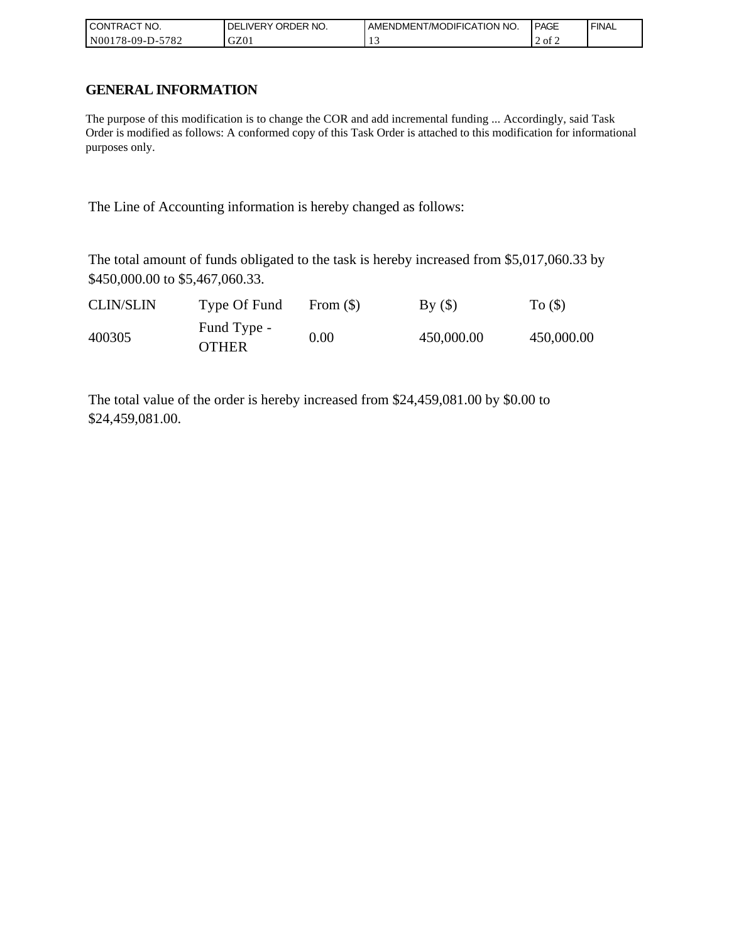| ' CONTRACT NO.             | ORDER NO.<br>. DELIVERY | <b>I AMENDMENT/MODIFICATION NO.</b> | <b>PAGE</b> | ' FINAL |
|----------------------------|-------------------------|-------------------------------------|-------------|---------|
| $-5782$<br>  N00178-09-D-5 | GZ01                    | . .                                 | 2 of 2      |         |

## **GENERAL INFORMATION**

The purpose of this modification is to change the COR and add incremental funding ... Accordingly, said Task Order is modified as follows: A conformed copy of this Task Order is attached to this modification for informational purposes only.

The Line of Accounting information is hereby changed as follows:

The total amount of funds obligated to the task is hereby increased from \$5,017,060.33 by \$450,000.00 to \$5,467,060.33.

| <b>CLIN/SLIN</b> | Type Of Fund                | From $(S)$ | By()       | To $($ )   |
|------------------|-----------------------------|------------|------------|------------|
| 400305           | Fund Type -<br><b>OTHER</b> | 0.00       | 450,000.00 | 450,000.00 |

The total value of the order is hereby increased from \$24,459,081.00 by \$0.00 to \$24,459,081.00.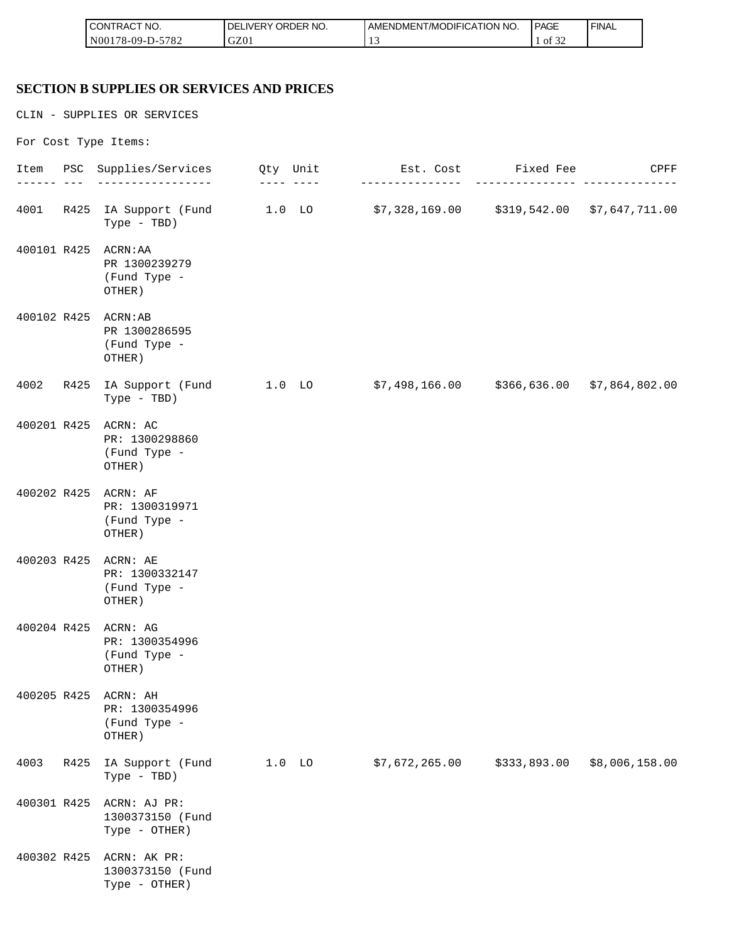| <b>CONTRACT NO.</b>    | ' ORDER NO.<br>∟IVERY<br>DELI | AMENDMENT/MODIFICATION NO. | <b>PAGE</b> | <b>FINAL</b> |
|------------------------|-------------------------------|----------------------------|-------------|--------------|
| N00178-09-D-5<br>-5782 | GZ01                          |                            | -ot<br>ے ر  |              |

#### **SECTION B SUPPLIES OR SERVICES AND PRICES**

CLIN - SUPPLIES OR SERVICES For Cost Type Items: Item PSC Supplies/Services Qty Unit Est. Cost Fixed Fee CPFF ------ --- ----------------- ---- ---- --------------- --------------- -------------- 4001 R425 IA Support (Fund 1.0 LO \$7,328,169.00 \$319,542.00 \$7,647,711.00 Type - TBD) 400101 R425 ACRN:AA PR 1300239279 (Fund Type - OTHER) 400102 R425 ACRN:AB PR 1300286595 (Fund Type - OTHER) 4002 R425 IA Support (Fund 1.0 LO \$7,498,166.00 \$366,636.00 \$7,864,802.00 Type - TBD) 400201 R425 ACRN: AC PR: 1300298860 (Fund Type - OTHER) 400202 R425 ACRN: AF PR: 1300319971 (Fund Type - OTHER) 400203 R425 ACRN: AE PR: 1300332147 (Fund Type - OTHER) 400204 R425 ACRN: AG PR: 1300354996 (Fund Type - OTHER) 400205 R425 ACRN: AH PR: 1300354996 (Fund Type - OTHER) 4003 R425 IA Support (Fund 1.0 LO \$7,672,265.00 \$333,893.00 \$8,006,158.00 Type - TBD) 400301 R425 ACRN: AJ PR: 1300373150 (Fund Type - OTHER) 400302 R425 ACRN: AK PR: 1300373150 (Fund Type - OTHER)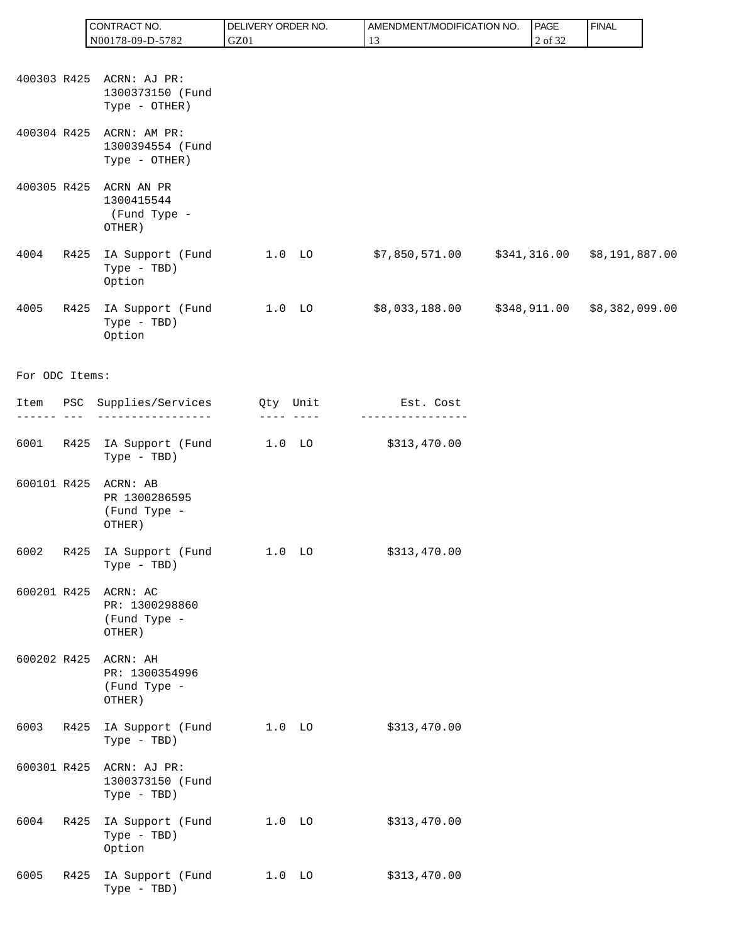|                |      | CONTRACT NO.                                                  | DELIVERY ORDER NO. | AMENDMENT/MODIFICATION NO.                    | PAGE    | <b>FINAL</b> |
|----------------|------|---------------------------------------------------------------|--------------------|-----------------------------------------------|---------|--------------|
|                |      | N00178-09-D-5782                                              | GZ01               | 13                                            | 2 of 32 |              |
|                |      | 400303 R425 ACRN: AJ PR:<br>1300373150 (Fund<br>Type - OTHER) |                    |                                               |         |              |
| 400304 R425    |      | ACRN: AM PR:<br>1300394554 (Fund<br>Type - OTHER)             |                    |                                               |         |              |
| 400305 R425    |      | ACRN AN PR<br>1300415544<br>(Fund Type -<br>OTHER)            |                    |                                               |         |              |
| 4004           | R425 | IA Support (Fund<br>Type - TBD)<br>Option                     | $1.0$ LO           | $$7,850,571.00$ $$341,316.00$ $$8,191,887.00$ |         |              |
| 4005           |      | R425 IA Support (Fund<br>Type - TBD)<br>Option                | $1.0$ LO           | $$8,033,188.00$ $$348,911.00$ $$8,382,099.00$ |         |              |
| For ODC Items: |      |                                                               |                    |                                               |         |              |
| ------- ---    |      | Item PSC Supplies/Services Qty Unit<br>------------------     |                    | Est. Cost                                     |         |              |
| 6001           |      | R425 IA Support (Fund 1.0 LO<br>Type - TBD)                   |                    | \$313,470.00                                  |         |              |
| 600101 R425    |      | ACRN: AB<br>PR 1300286595<br>(Fund Type -<br>OTHER)           |                    |                                               |         |              |
|                |      | 6002 R425 IA Support (Fund 1.0 LO \$313,470.00<br>Type - TBD) |                    |                                               |         |              |
| 600201 R425    |      | ACRN: AC<br>PR: 1300298860<br>(Fund Type -<br>OTHER)          |                    |                                               |         |              |
| 600202 R425    |      | ACRN: AH<br>PR: 1300354996<br>(Fund Type -<br>OTHER)          |                    |                                               |         |              |
| 6003           | R425 | IA Support (Fund<br>Type - TBD)                               | $1.0$ LO           | \$313,470.00                                  |         |              |
| 600301 R425    |      | ACRN: AJ PR:<br>1300373150 (Fund<br>Type - TBD)               |                    |                                               |         |              |
| 6004           | R425 | IA Support (Fund<br>Type - TBD)<br>Option                     | $1.0$ LO           | \$313,470.00                                  |         |              |
| 6005           | R425 | IA Support (Fund<br>Type - TBD)                               | $1.0$ LO           | \$313,470.00                                  |         |              |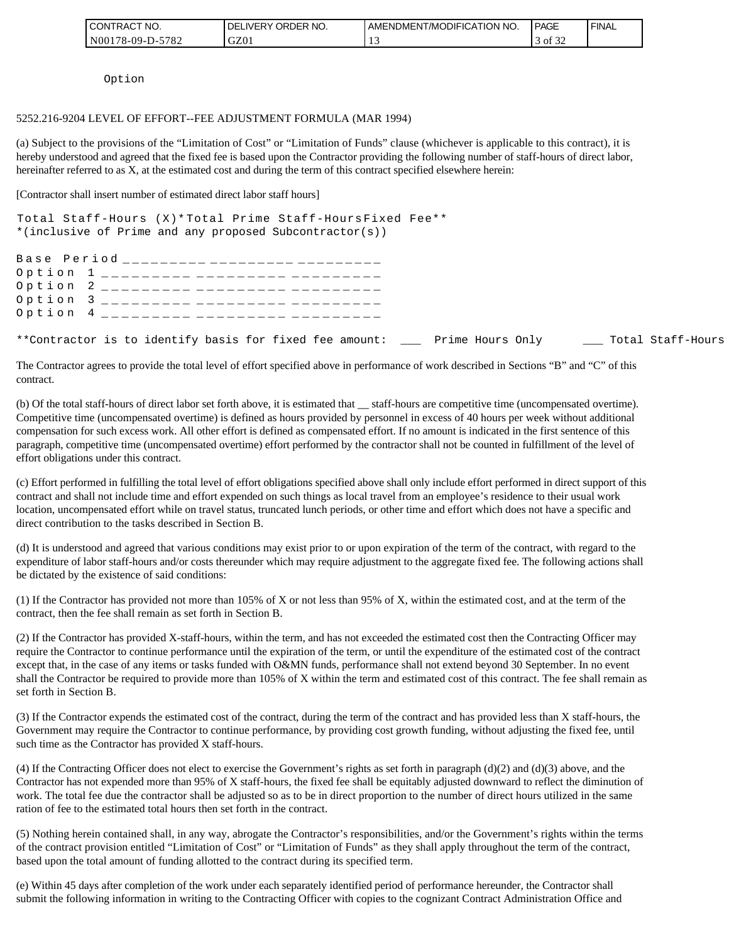| I CONTRACT NO.   | NO.<br><b>DELIVERY ORDER</b> | I AMENDMENT/MODIFICATION NO. | PAGE    | <b>FINAL</b> |
|------------------|------------------------------|------------------------------|---------|--------------|
| N00178-09-D-5782 | GZ01                         |                              | of $32$ |              |

Option

### 5252.216-9204 LEVEL OF EFFORT--FEE ADJUSTMENT FORMULA (MAR 1994)

(a) Subject to the provisions of the "Limitation of Cost" or "Limitation of Funds" clause (whichever is applicable to this contract), it is hereby understood and agreed that the fixed fee is based upon the Contractor providing the following number of staff-hours of direct labor, hereinafter referred to as X, at the estimated cost and during the term of this contract specified elsewhere herein:

[Contractor shall insert number of estimated direct labor staff hours]

| Total Staff-Hours (X)* Total Prime Staff-Hours Fixed Fee**<br>*(inclusive of Prime and any proposed Subcontractor(s)) |  |
|-----------------------------------------------------------------------------------------------------------------------|--|
| Base Period __________ _________ ________                                                                             |  |
| Option 1 __________ _________ _______                                                                                 |  |
| Option 2 _________ _________ _______                                                                                  |  |
| Option 3 _________ _________ _______                                                                                  |  |
| Option 4 _________ _________ ______                                                                                   |  |
| **Contractor is to identify basis for fixed fee amount: ______ Prime Hours Only ______ Total Staff-Hours              |  |

The Contractor agrees to provide the total level of effort specified above in performance of work described in Sections "B" and "C" of this contract.

(b) Of the total staff-hours of direct labor set forth above, it is estimated that \_\_ staff-hours are competitive time (uncompensated overtime). Competitive time (uncompensated overtime) is defined as hours provided by personnel in excess of 40 hours per week without additional compensation for such excess work. All other effort is defined as compensated effort. If no amount is indicated in the first sentence of this paragraph, competitive time (uncompensated overtime) effort performed by the contractor shall not be counted in fulfillment of the level of effort obligations under this contract.

(c) Effort performed in fulfilling the total level of effort obligations specified above shall only include effort performed in direct support of this contract and shall not include time and effort expended on such things as local travel from an employee's residence to their usual work location, uncompensated effort while on travel status, truncated lunch periods, or other time and effort which does not have a specific and direct contribution to the tasks described in Section B.

(d) It is understood and agreed that various conditions may exist prior to or upon expiration of the term of the contract, with regard to the expenditure of labor staff-hours and/or costs thereunder which may require adjustment to the aggregate fixed fee. The following actions shall be dictated by the existence of said conditions:

(1) If the Contractor has provided not more than 105% of X or not less than 95% of X, within the estimated cost, and at the term of the contract, then the fee shall remain as set forth in Section B.

(2) If the Contractor has provided X-staff-hours, within the term, and has not exceeded the estimated cost then the Contracting Officer may require the Contractor to continue performance until the expiration of the term, or until the expenditure of the estimated cost of the contract except that, in the case of any items or tasks funded with O&MN funds, performance shall not extend beyond 30 September. In no event shall the Contractor be required to provide more than 105% of X within the term and estimated cost of this contract. The fee shall remain as set forth in Section B.

(3) If the Contractor expends the estimated cost of the contract, during the term of the contract and has provided less than X staff-hours, the Government may require the Contractor to continue performance, by providing cost growth funding, without adjusting the fixed fee, until such time as the Contractor has provided X staff-hours.

(4) If the Contracting Officer does not elect to exercise the Government's rights as set forth in paragraph (d)(2) and (d)(3) above, and the Contractor has not expended more than 95% of X staff-hours, the fixed fee shall be equitably adjusted downward to reflect the diminution of work. The total fee due the contractor shall be adjusted so as to be in direct proportion to the number of direct hours utilized in the same ration of fee to the estimated total hours then set forth in the contract.

(5) Nothing herein contained shall, in any way, abrogate the Contractor's responsibilities, and/or the Government's rights within the terms of the contract provision entitled "Limitation of Cost" or "Limitation of Funds" as they shall apply throughout the term of the contract, based upon the total amount of funding allotted to the contract during its specified term.

(e) Within 45 days after completion of the work under each separately identified period of performance hereunder, the Contractor shall submit the following information in writing to the Contracting Officer with copies to the cognizant Contract Administration Office and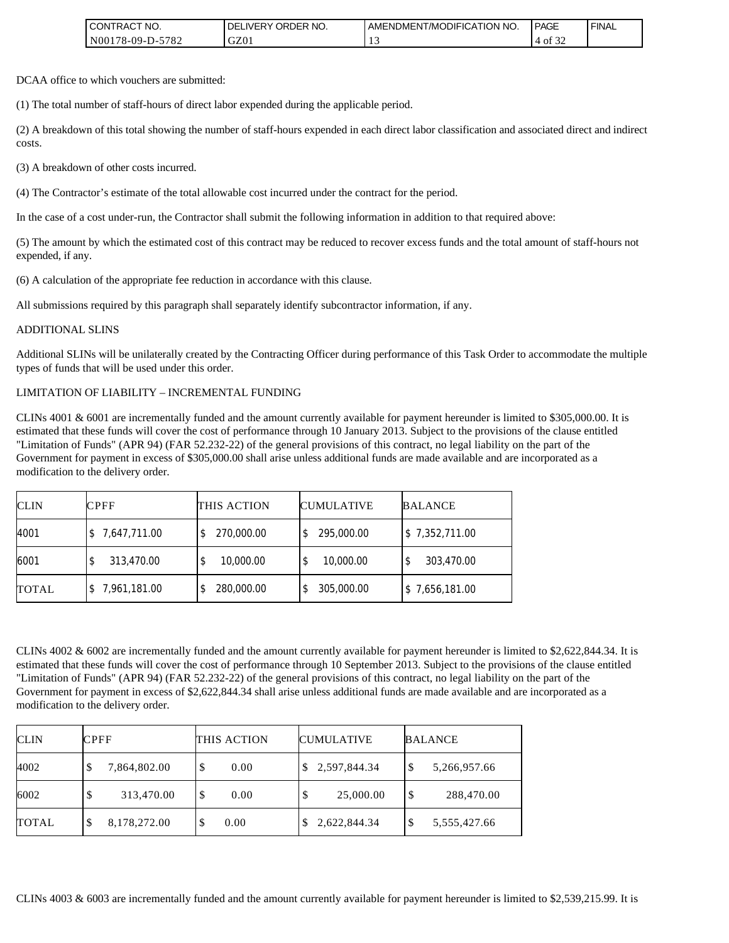| I CONTRACT NO.           | ' ORDER NO.<br><b>DELIVERY</b> | I AMENDMENT/MODIFICATION NO. | <b>PAGE</b>             | ' FINAL |
|--------------------------|--------------------------------|------------------------------|-------------------------|---------|
| N00178-09-D-5<br>$-5782$ | GZ01                           |                              | $c \wedge$<br>ΟĪ<br>-24 |         |

DCAA office to which vouchers are submitted:

(1) The total number of staff-hours of direct labor expended during the applicable period.

(2) A breakdown of this total showing the number of staff-hours expended in each direct labor classification and associated direct and indirect costs.

(3) A breakdown of other costs incurred.

(4) The Contractor's estimate of the total allowable cost incurred under the contract for the period.

In the case of a cost under-run, the Contractor shall submit the following information in addition to that required above:

(5) The amount by which the estimated cost of this contract may be reduced to recover excess funds and the total amount of staff-hours not expended, if any.

(6) A calculation of the appropriate fee reduction in accordance with this clause.

All submissions required by this paragraph shall separately identify subcontractor information, if any.

#### ADDITIONAL SLINS

Additional SLINs will be unilaterally created by the Contracting Officer during performance of this Task Order to accommodate the multiple types of funds that will be used under this order.

#### LIMITATION OF LIABILITY – INCREMENTAL FUNDING

CLINs 4001 & 6001 are incrementally funded and the amount currently available for payment hereunder is limited to \$305,000.00. It is estimated that these funds will cover the cost of performance through 10 January 2013. Subject to the provisions of the clause entitled "Limitation of Funds" (APR 94) (FAR 52.232-22) of the general provisions of this contract, no legal liability on the part of the Government for payment in excess of \$305,000.00 shall arise unless additional funds are made available and are incorporated as a modification to the delivery order.

| <b>CLIN</b>  | <b>CPFF</b>     | THIS ACTION | <b>CUMULATIVE</b> | <b>BALANCE</b> |
|--------------|-----------------|-------------|-------------------|----------------|
| 4001         | \$7,647,711.00  | 270,000.00  | 295,000.00        | \$7,352,711.00 |
| 6001         | 313,470.00<br>D | 10,000.00   | 10,000.00<br>\$   | 303,470.00     |
| <b>TOTAL</b> | \$7,961,181.00  | 280,000.00  | 305,000.00        | \$7,656,181.00 |

CLINs 4002 & 6002 are incrementally funded and the amount currently available for payment hereunder is limited to \$2,622,844.34. It is estimated that these funds will cover the cost of performance through 10 September 2013. Subject to the provisions of the clause entitled "Limitation of Funds" (APR 94) (FAR 52.232-22) of the general provisions of this contract, no legal liability on the part of the Government for payment in excess of \$2,622,844.34 shall arise unless additional funds are made available and are incorporated as a modification to the delivery order.

| <b>CLIN</b>  | <b>CPFF</b>       | THIS ACTION | <b>CUMULATIVE</b> | <b>BALANCE</b>    |
|--------------|-------------------|-------------|-------------------|-------------------|
| 4002         | 7,864,802.00      | S<br>0.00   | 2,597,844.34      | 5,266,957.66<br>Φ |
| 6002         | 313,470.00        | \$<br>0.00  | 25,000.00<br>\$   | \$<br>288,470.00  |
| <b>TOTAL</b> | 8,178,272.00<br>Φ | 0.00<br>J   | 2,622,844.34      | 5,555,427.66<br>Ψ |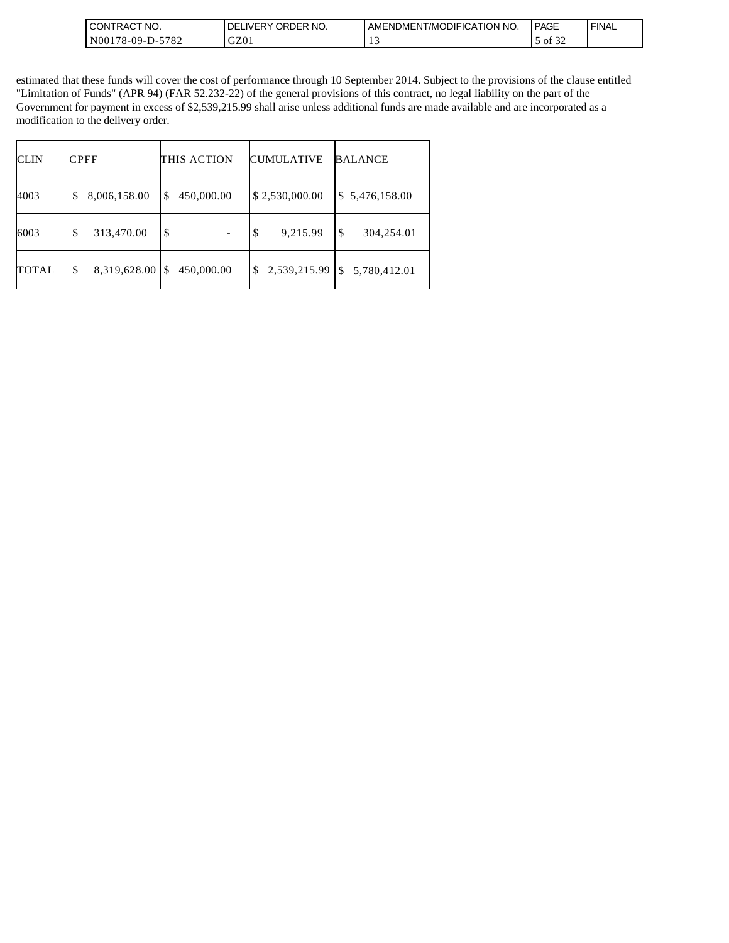| CONTRACT NO.<br>ш                         | ORDER<br>NO.<br><b>DELIVERY</b> | <b>AMENDMENT/MODIFICATION NO.</b> | PAGE                | `FINAL |
|-------------------------------------------|---------------------------------|-----------------------------------|---------------------|--------|
| N00178-09-D-<br>.770 <sub>0</sub><br>78 Z | GZ01                            |                                   | $\sim$<br>ΟĪ<br>-24 |        |

estimated that these funds will cover the cost of performance through 10 September 2014. Subject to the provisions of the clause entitled "Limitation of Funds" (APR 94) (FAR 52.232-22) of the general provisions of this contract, no legal liability on the part of the Government for payment in excess of \$2,539,215.99 shall arise unless additional funds are made available and are incorporated as a modification to the delivery order.

| <b>CLIN</b>  | <b>CPFF</b>        | THIS ACTION      | <b>CUMULATIVE</b>  | <b>BALANCE</b>     |
|--------------|--------------------|------------------|--------------------|--------------------|
| 4003         | 8,006,158.00<br>\$ | 450,000.00<br>\$ | \$2,530,000.00     | \$5,476,158.00     |
| 6003         | 313,470.00<br>\$   | \$               | \$<br>9,215.99     | \$<br>304,254.01   |
| <b>TOTAL</b> | 8,319,628.00<br>\$ | 450,000.00<br>\$ | 2,539,215.99<br>\$ | 5,780,412.01<br>\$ |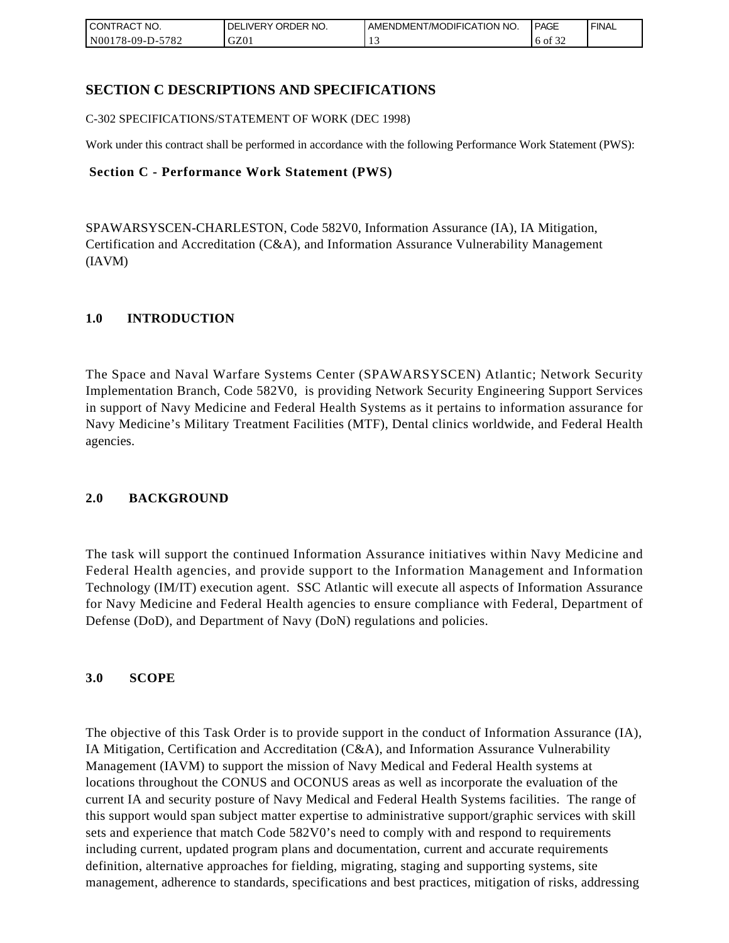| <b>CONTRACT NO.</b>    | NO.<br>' ORDER<br><b>DELIVERY</b> | AMENDMENT/MODIFICATION NO. | <b>PAGE</b>              | ' FINAL |
|------------------------|-----------------------------------|----------------------------|--------------------------|---------|
| N00178-09-D-5<br>-5782 | GZ01                              |                            | $\sim$ $\sim$<br>6 of 32 |         |

## **SECTION C DESCRIPTIONS AND SPECIFICATIONS**

C-302 SPECIFICATIONS/STATEMENT OF WORK (DEC 1998)

Work under this contract shall be performed in accordance with the following Performance Work Statement (PWS):

### **Section C - Performance Work Statement (PWS)**

SPAWARSYSCEN-CHARLESTON, Code 582V0, Information Assurance (IA), IA Mitigation, Certification and Accreditation (C&A), and Information Assurance Vulnerability Management (IAVM)

### **1.0 INTRODUCTION**

The Space and Naval Warfare Systems Center (SPAWARSYSCEN) Atlantic; Network Security Implementation Branch, Code 582V0, is providing Network Security Engineering Support Services in support of Navy Medicine and Federal Health Systems as it pertains to information assurance for Navy Medicine's Military Treatment Facilities (MTF), Dental clinics worldwide, and Federal Health agencies.

### **2.0 BACKGROUND**

The task will support the continued Information Assurance initiatives within Navy Medicine and Federal Health agencies, and provide support to the Information Management and Information Technology (IM/IT) execution agent. SSC Atlantic will execute all aspects of Information Assurance for Navy Medicine and Federal Health agencies to ensure compliance with Federal, Department of Defense (DoD), and Department of Navy (DoN) regulations and policies.

### **3.0 SCOPE**

The objective of this Task Order is to provide support in the conduct of Information Assurance (IA), IA Mitigation, Certification and Accreditation (C&A), and Information Assurance Vulnerability Management (IAVM) to support the mission of Navy Medical and Federal Health systems at locations throughout the CONUS and OCONUS areas as well as incorporate the evaluation of the current IA and security posture of Navy Medical and Federal Health Systems facilities. The range of this support would span subject matter expertise to administrative support/graphic services with skill sets and experience that match Code 582V0's need to comply with and respond to requirements including current, updated program plans and documentation, current and accurate requirements definition, alternative approaches for fielding, migrating, staging and supporting systems, site management, adherence to standards, specifications and best practices, mitigation of risks, addressing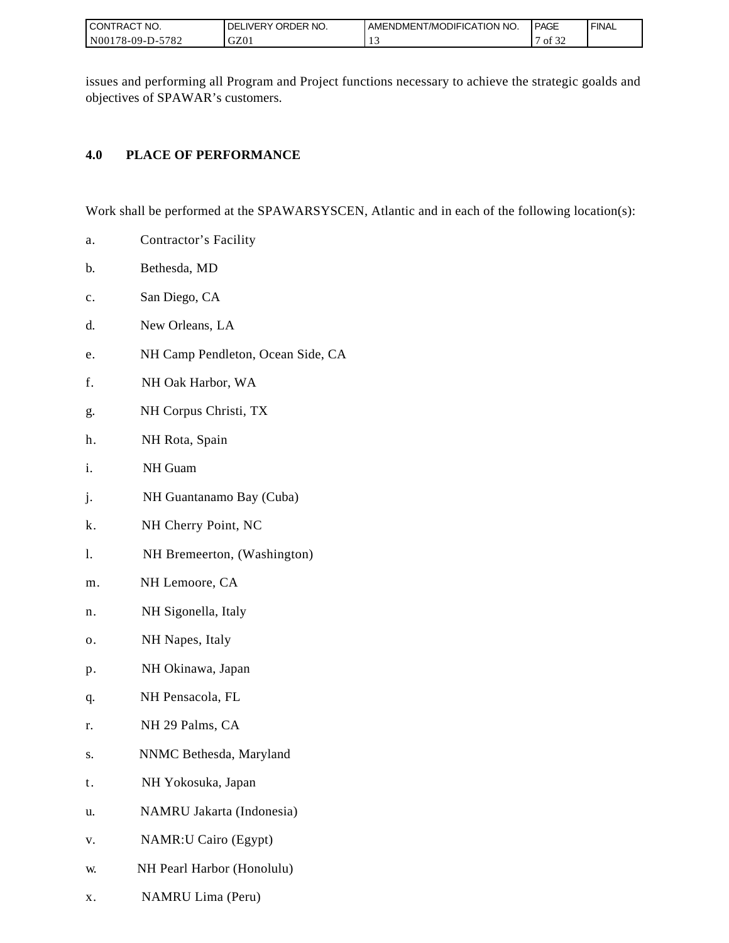| I CONTRACT NO.   | ORDER NO.<br><b>DELIVERY</b> | I AMENDMENT/MODIFICATION NO. | PAGE              | ' FINAL |
|------------------|------------------------------|------------------------------|-------------------|---------|
| N00178-09-D-5782 | GZ01                         |                              | 0.22<br>οt<br>ے ر |         |

issues and performing all Program and Project functions necessary to achieve the strategic goalds and objectives of SPAWAR's customers.

## **4.0 PLACE OF PERFORMANCE**

Work shall be performed at the SPAWARSYSCEN, Atlantic and in each of the following location(s):

- a. Contractor's Facility
- b. Bethesda, MD
- c. San Diego, CA
- d. New Orleans, LA
- e. NH Camp Pendleton, Ocean Side, CA
- f. NH Oak Harbor, WA
- g. NH Corpus Christi, TX
- h. NH Rota, Spain
- i. NH Guam
- j. NH Guantanamo Bay (Cuba)
- k. NH Cherry Point, NC
- l. NH Bremeerton, (Washington)
- m. NH Lemoore, CA
- n. NH Sigonella, Italy
- o. NH Napes, Italy
- p. NH Okinawa, Japan
- q. NH Pensacola, FL
- r. NH 29 Palms, CA
- s. NNMC Bethesda, Maryland
- t. NH Yokosuka, Japan
- u. NAMRU Jakarta (Indonesia)
- v. NAMR:U Cairo (Egypt)
- w. NH Pearl Harbor (Honolulu)
- x. NAMRU Lima (Peru)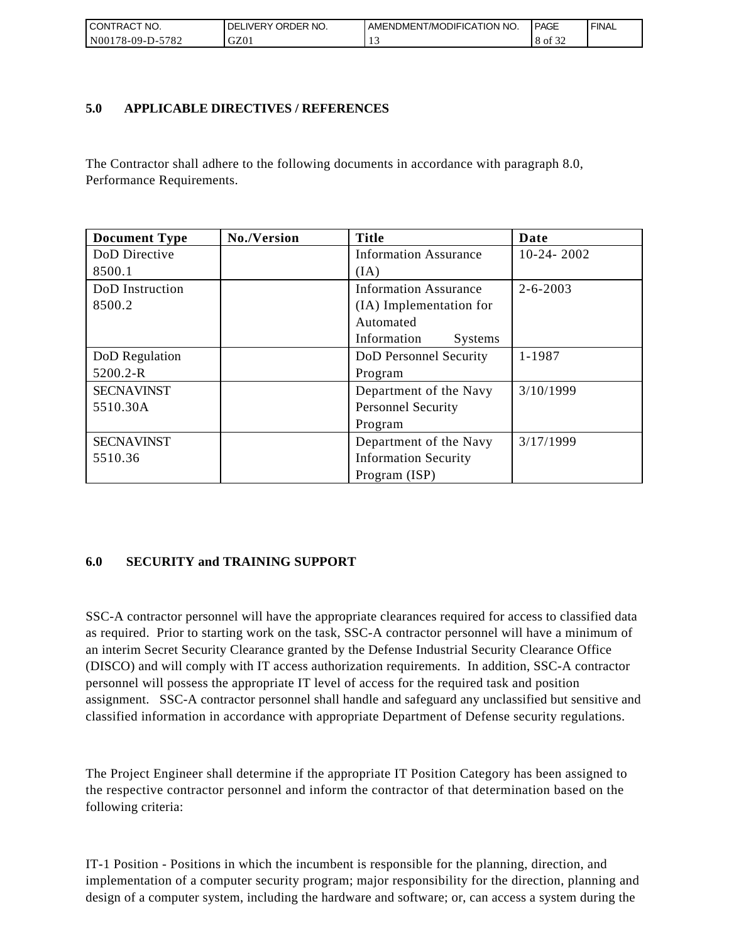| <b>CONTRACT NO.</b> | I DELIVERY ORDER NO. | AMENDMENT/MODIFICATION NO. | PAGE                     | ' FINAL |
|---------------------|----------------------|----------------------------|--------------------------|---------|
| N00178-09-D-5782    | GZ01                 |                            | $\sim$ $\sim$<br>8 of 32 |         |

## **5.0 APPLICABLE DIRECTIVES / REFERENCES**

The Contractor shall adhere to the following documents in accordance with paragraph 8.0, Performance Requirements.

| <b>Document Type</b> | No./Version | <b>Title</b>                  | Date           |
|----------------------|-------------|-------------------------------|----------------|
| DoD Directive        |             | <b>Information Assurance</b>  | $10-24-2002$   |
| 8500.1               |             | (IA)                          |                |
| DoD Instruction      |             | <b>Information Assurance</b>  | $2 - 6 - 2003$ |
| 8500.2               |             | (IA) Implementation for       |                |
|                      |             | Automated                     |                |
|                      |             | Information<br><b>Systems</b> |                |
| DoD Regulation       |             | DoD Personnel Security        | 1-1987         |
| 5200.2-R             |             | Program                       |                |
| <b>SECNAVINST</b>    |             | Department of the Navy        | 3/10/1999      |
| 5510.30A             |             | <b>Personnel Security</b>     |                |
|                      |             | Program                       |                |
| <b>SECNAVINST</b>    |             | Department of the Navy        | 3/17/1999      |
| 5510.36              |             | <b>Information Security</b>   |                |
|                      |             | Program (ISP)                 |                |

## **6.0 SECURITY and TRAINING SUPPORT**

SSC-A contractor personnel will have the appropriate clearances required for access to classified data as required. Prior to starting work on the task, SSC-A contractor personnel will have a minimum of an interim Secret Security Clearance granted by the Defense Industrial Security Clearance Office (DISCO) and will comply with IT access authorization requirements. In addition, SSC-A contractor personnel will possess the appropriate IT level of access for the required task and position assignment. SSC-A contractor personnel shall handle and safeguard any unclassified but sensitive and classified information in accordance with appropriate Department of Defense security regulations.

The Project Engineer shall determine if the appropriate IT Position Category has been assigned to the respective contractor personnel and inform the contractor of that determination based on the following criteria:

IT-1 Position - Positions in which the incumbent is responsible for the planning, direction, and implementation of a computer security program; major responsibility for the direction, planning and design of a computer system, including the hardware and software; or, can access a system during the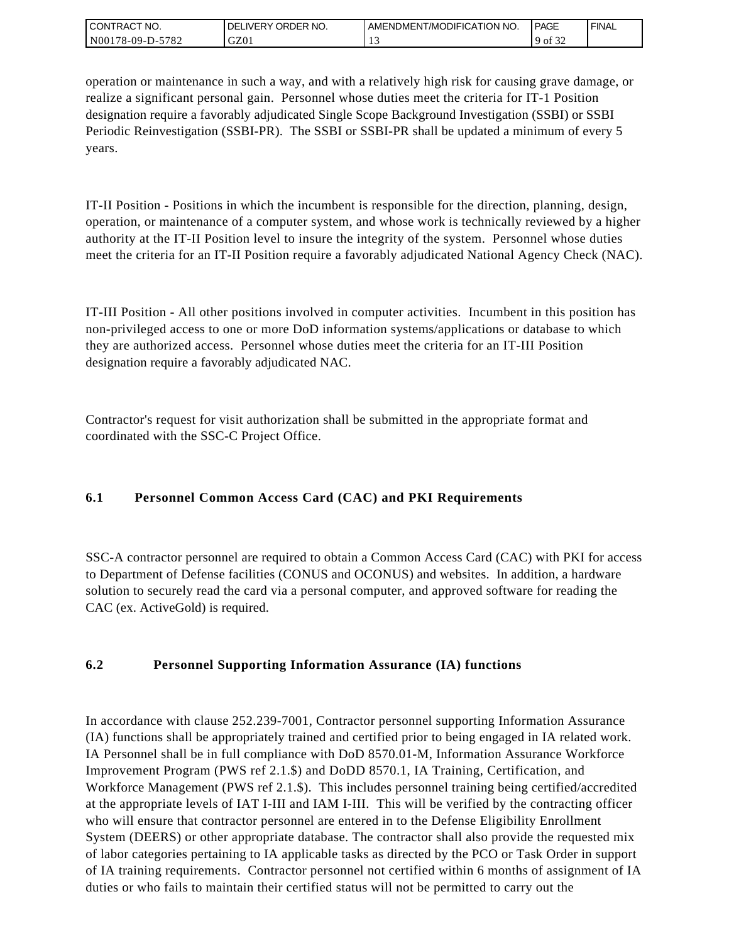| <b>CONTRACT NO.</b>   | ' ORDER NO.<br><b>IVERY</b><br>DELI | I AMENDMENT/MODIFICATION NO. | <b>PAGE</b> | ' FINAL |
|-----------------------|-------------------------------------|------------------------------|-------------|---------|
| N00178-09-D-5<br>5782 | GZ01                                |                              | 9 of<br>عد  |         |

operation or maintenance in such a way, and with a relatively high risk for causing grave damage, or realize a significant personal gain. Personnel whose duties meet the criteria for IT-1 Position designation require a favorably adjudicated Single Scope Background Investigation (SSBI) or SSBI Periodic Reinvestigation (SSBI-PR). The SSBI or SSBI-PR shall be updated a minimum of every 5 years.

IT-II Position - Positions in which the incumbent is responsible for the direction, planning, design, operation, or maintenance of a computer system, and whose work is technically reviewed by a higher authority at the IT-II Position level to insure the integrity of the system. Personnel whose duties meet the criteria for an IT-II Position require a favorably adjudicated National Agency Check (NAC).

IT-III Position - All other positions involved in computer activities. Incumbent in this position has non-privileged access to one or more DoD information systems/applications or database to which they are authorized access. Personnel whose duties meet the criteria for an IT-III Position designation require a favorably adjudicated NAC.

Contractor's request for visit authorization shall be submitted in the appropriate format and coordinated with the SSC-C Project Office.

# **6.1 Personnel Common Access Card (CAC) and PKI Requirements**

SSC-A contractor personnel are required to obtain a Common Access Card (CAC) with PKI for access to Department of Defense facilities (CONUS and OCONUS) and websites. In addition, a hardware solution to securely read the card via a personal computer, and approved software for reading the CAC (ex. ActiveGold) is required.

## **6.2 Personnel Supporting Information Assurance (IA) functions**

In accordance with clause 252.239-7001, Contractor personnel supporting Information Assurance (IA) functions shall be appropriately trained and certified prior to being engaged in IA related work. IA Personnel shall be in full compliance with DoD 8570.01-M, Information Assurance Workforce Improvement Program (PWS ref 2.1.\$) and DoDD 8570.1, IA Training, Certification, and Workforce Management (PWS ref 2.1.\$). This includes personnel training being certified/accredited at the appropriate levels of IAT I-III and IAM I-III. This will be verified by the contracting officer who will ensure that contractor personnel are entered in to the Defense Eligibility Enrollment System (DEERS) or other appropriate database. The contractor shall also provide the requested mix of labor categories pertaining to IA applicable tasks as directed by the PCO or Task Order in support of IA training requirements. Contractor personnel not certified within 6 months of assignment of IA duties or who fails to maintain their certified status will not be permitted to carry out the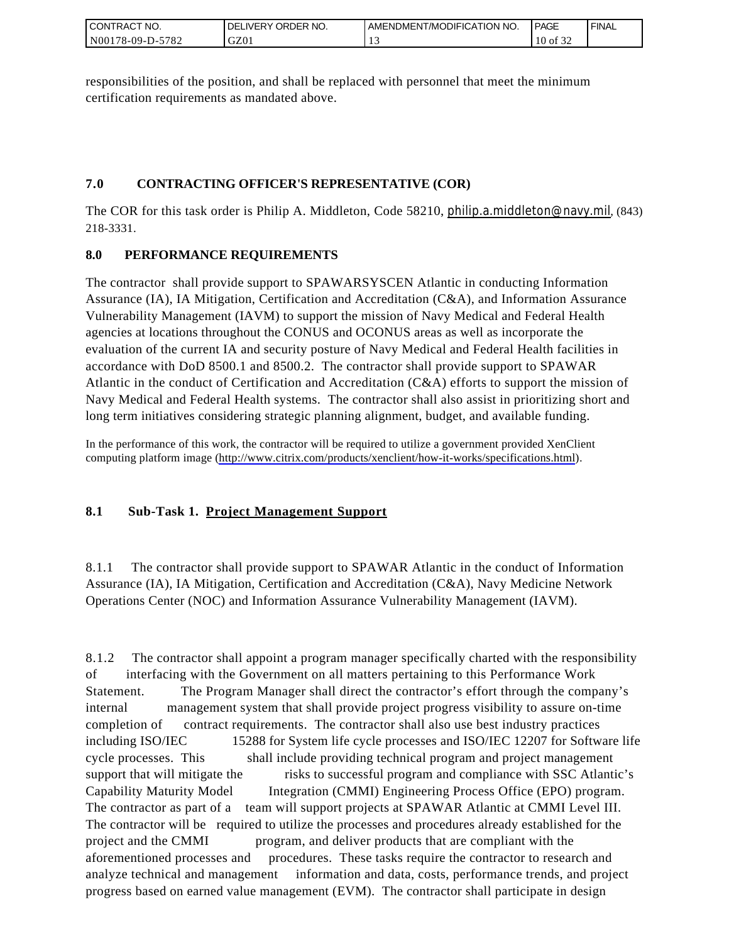| I CONTRACT NO.         | ORDER<br>NO.<br><b>DELIVERY</b> | AMENDMENT/MODIFICATION NO. | <b>PAGE</b>                      | ' FINAL |
|------------------------|---------------------------------|----------------------------|----------------------------------|---------|
| N00178-09-D-5<br>-5782 | GZ01                            |                            | $\sim$ $\sim$ $\sim$<br>10<br>οt |         |

responsibilities of the position, and shall be replaced with personnel that meet the minimum certification requirements as mandated above.

## **7.0 CONTRACTING OFFICER'S REPRESENTATIVE (COR)**

The COR for this task order is Philip A. Middleton, Code 58210, [philip.a.middleton@navy.mil](mailto:cphilip.a.middleton@navy.mil), (843) 218-3331.

## **8.0 PERFORMANCE REQUIREMENTS**

The contractor shall provide support to SPAWARSYSCEN Atlantic in conducting Information Assurance (IA), IA Mitigation, Certification and Accreditation (C&A), and Information Assurance Vulnerability Management (IAVM) to support the mission of Navy Medical and Federal Health agencies at locations throughout the CONUS and OCONUS areas as well as incorporate the evaluation of the current IA and security posture of Navy Medical and Federal Health facilities in accordance with DoD 8500.1 and 8500.2. The contractor shall provide support to SPAWAR Atlantic in the conduct of Certification and Accreditation (C&A) efforts to support the mission of Navy Medical and Federal Health systems. The contractor shall also assist in prioritizing short and long term initiatives considering strategic planning alignment, budget, and available funding.

In the performance of this work, the contractor will be required to utilize a government provided XenClient computing platform image [\(http://www.citrix.com/products/xenclient/how-it-works/specifications.html\)](http://www.citrix.com/products/xenclient/how-it-works/specifications.html).

## **8.1 Sub-Task 1. Project Management Support**

8.1.1 The contractor shall provide support to SPAWAR Atlantic in the conduct of Information Assurance (IA), IA Mitigation, Certification and Accreditation (C&A), Navy Medicine Network Operations Center (NOC) and Information Assurance Vulnerability Management (IAVM).

8.1.2 The contractor shall appoint a program manager specifically charted with the responsibility of interfacing with the Government on all matters pertaining to this Performance Work Statement. The Program Manager shall direct the contractor's effort through the company's internal management system that shall provide project progress visibility to assure on-time completion of contract requirements. The contractor shall also use best industry practices including ISO/IEC 15288 for System life cycle processes and ISO/IEC 12207 for Software life cycle processes. This shall include providing technical program and project management support that will mitigate the risks to successful program and compliance with SSC Atlantic's Capability Maturity Model Integration (CMMI) Engineering Process Office (EPO) program. The contractor as part of a team will support projects at SPAWAR Atlantic at CMMI Level III. The contractor will be required to utilize the processes and procedures already established for the project and the CMMI program, and deliver products that are compliant with the aforementioned processes and procedures. These tasks require the contractor to research and analyze technical and management information and data, costs, performance trends, and project progress based on earned value management (EVM). The contractor shall participate in design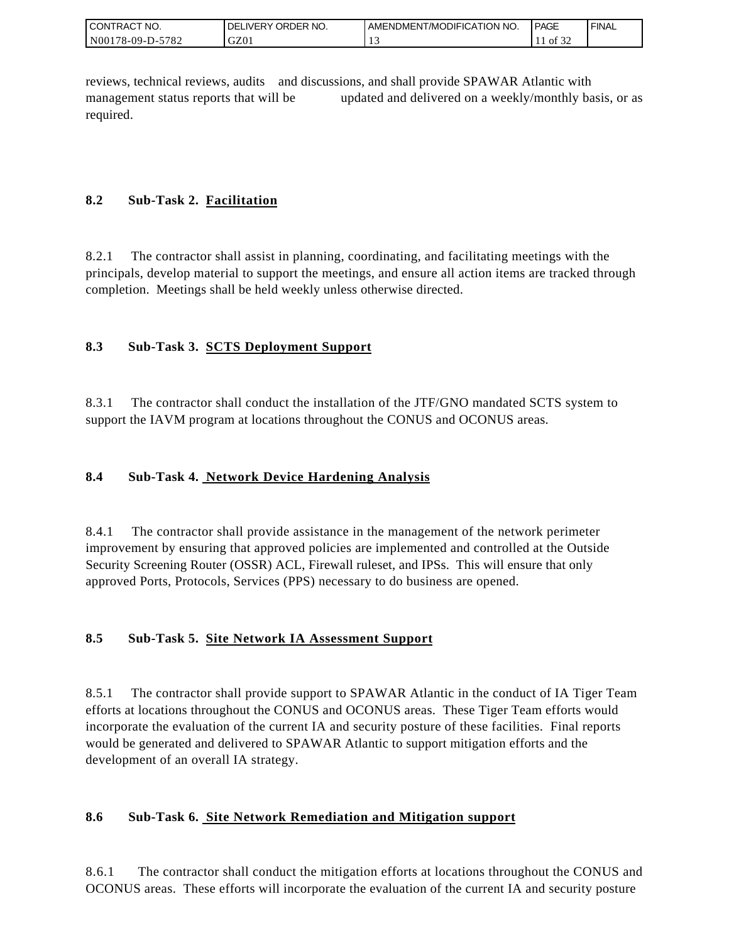| I CONTRACT NO.   | ' ORDER NO.<br><b>DELIVERY</b> | <b>LAMENDMENT/MODIFICATION NO.</b> | <b>PAGE</b>                   | ' FINAL |
|------------------|--------------------------------|------------------------------------|-------------------------------|---------|
| N00178-09-D-5782 | GZ0                            |                                    | $\sim$ $\sim$ $\sim$<br>of 32 |         |

reviews, technical reviews, audits and discussions, and shall provide SPAWAR Atlantic with management status reports that will be updated and delivered on a weekly/monthly basis, or as required.

## **8.2 Sub-Task 2. Facilitation**

8.2.1 The contractor shall assist in planning, coordinating, and facilitating meetings with the principals, develop material to support the meetings, and ensure all action items are tracked through completion. Meetings shall be held weekly unless otherwise directed.

## **8.3 Sub-Task 3. SCTS Deployment Support**

8.3.1 The contractor shall conduct the installation of the JTF/GNO mandated SCTS system to support the IAVM program at locations throughout the CONUS and OCONUS areas.

## **8.4 Sub-Task 4. Network Device Hardening Analysis**

8.4.1 The contractor shall provide assistance in the management of the network perimeter improvement by ensuring that approved policies are implemented and controlled at the Outside Security Screening Router (OSSR) ACL, Firewall ruleset, and IPSs. This will ensure that only approved Ports, Protocols, Services (PPS) necessary to do business are opened.

## **8.5 Sub-Task 5. Site Network IA Assessment Support**

8.5.1 The contractor shall provide support to SPAWAR Atlantic in the conduct of IA Tiger Team efforts at locations throughout the CONUS and OCONUS areas. These Tiger Team efforts would incorporate the evaluation of the current IA and security posture of these facilities. Final reports would be generated and delivered to SPAWAR Atlantic to support mitigation efforts and the development of an overall IA strategy.

## **8.6 Sub-Task 6. Site Network Remediation and Mitigation support**

8.6.1 The contractor shall conduct the mitigation efforts at locations throughout the CONUS and OCONUS areas. These efforts will incorporate the evaluation of the current IA and security posture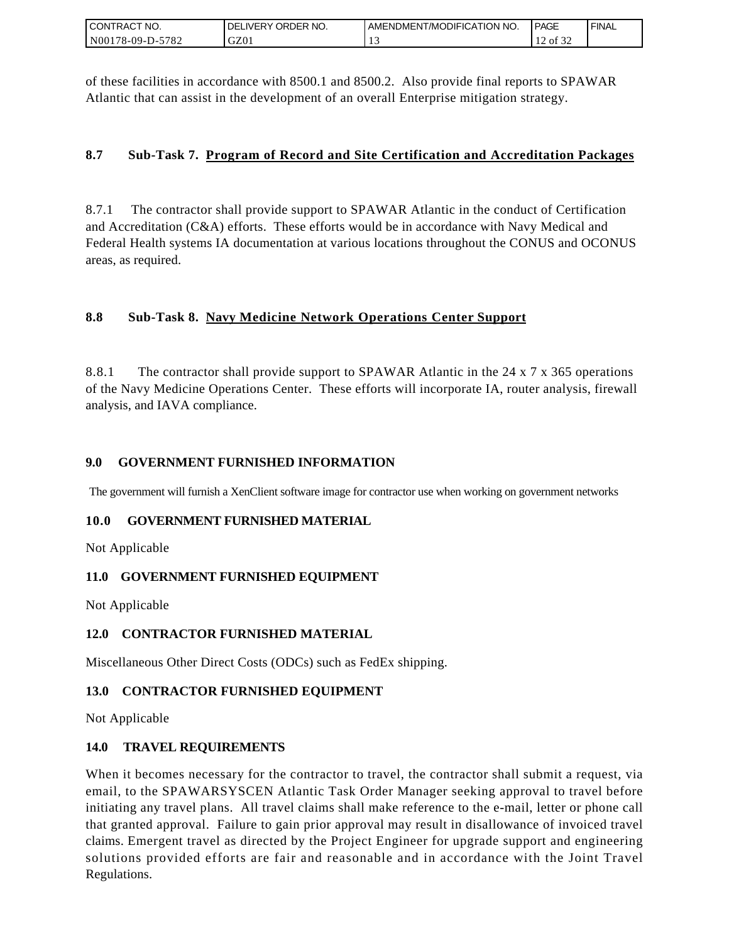| I CONTRACT NO.   | ' NO.<br>DELIVERY ORDER | AMENDMENT/MODIFICATION NO. | <b>I PAGE</b> | ' FINAL |
|------------------|-------------------------|----------------------------|---------------|---------|
| N00178-09-D-5782 | GZ01                    |                            | 0.22<br>of 32 |         |

of these facilities in accordance with 8500.1 and 8500.2. Also provide final reports to SPAWAR Atlantic that can assist in the development of an overall Enterprise mitigation strategy.

## **8.7 Sub-Task 7. Program of Record and Site Certification and Accreditation Packages**

8.7.1 The contractor shall provide support to SPAWAR Atlantic in the conduct of Certification and Accreditation (C&A) efforts. These efforts would be in accordance with Navy Medical and Federal Health systems IA documentation at various locations throughout the CONUS and OCONUS areas, as required.

## **8.8 Sub-Task 8. Navy Medicine Network Operations Center Support**

8.8.1 The contractor shall provide support to SPAWAR Atlantic in the 24 x 7 x 365 operations of the Navy Medicine Operations Center. These efforts will incorporate IA, router analysis, firewall analysis, and IAVA compliance.

### **9.0 GOVERNMENT FURNISHED INFORMATION**

The government will furnish a XenClient software image for contractor use when working on government networks

### **10.0 GOVERNMENT FURNISHED MATERIAL**

Not Applicable

### **11.0 GOVERNMENT FURNISHED EQUIPMENT**

Not Applicable

### **12.0 CONTRACTOR FURNISHED MATERIAL**

Miscellaneous Other Direct Costs (ODCs) such as FedEx shipping.

### **13.0 CONTRACTOR FURNISHED EQUIPMENT**

Not Applicable

### **14.0 TRAVEL REQUIREMENTS**

CONTRACT NO.<br>
NO0178-09-D-5<br>
SONTRACT NO.<br>
NO0178-09-D-5<br>
Of these facilit<br>
Atlantic that of<br>
8.7. Sub-T<br>
8.7. Sub-T<br>
8.8. Sub-T<br>
8.8. Sub-T<br>
8.8. Sub-T<br>
8.8. Sub-T<br>
8.8. Sub-T<br>
9.0 GOVEF<br>
The governmen<br>
10.0 GOVEF<br>
Not Ap When it becomes necessary for the contractor to travel, the contractor shall submit a request, via email, to the SPAWARSYSCEN Atlantic Task Order Manager seeking approval to travel before initiating any travel plans. All travel claims shall make reference to the e-mail, letter or phone call that granted approval. Failure to gain prior approval may result in disallowance of invoiced travel claims. Emergent travel as directed by the Project Engineer for upgrade support and engineering solutions provided efforts are fair and reasonable and in accordance with the Joint Travel Regulations.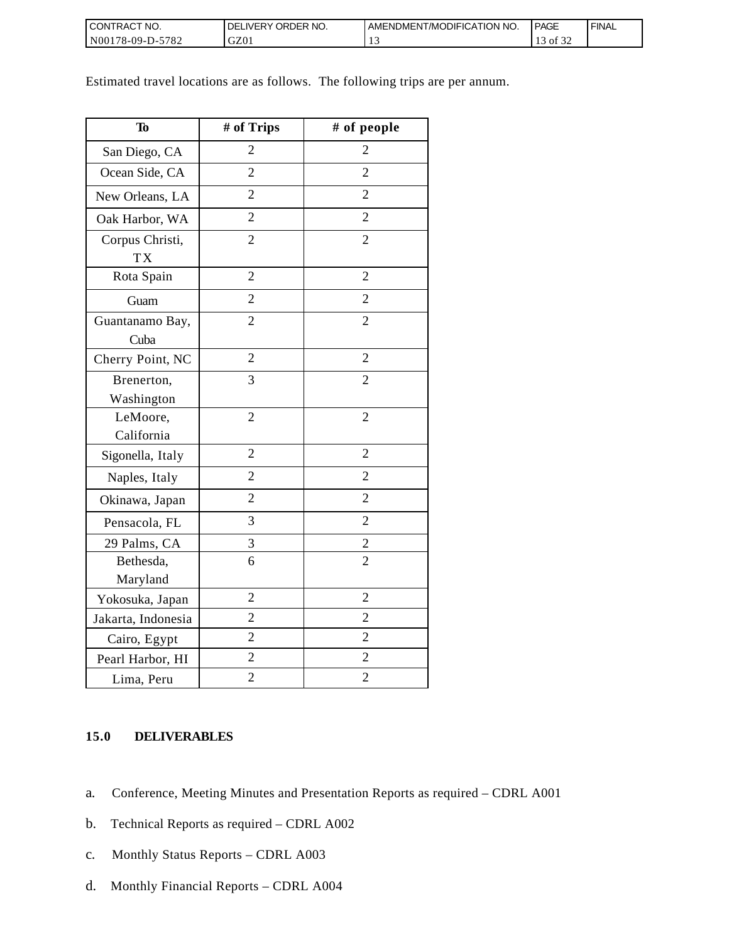| I CONTRACT NO.           | `NO.<br><b>DELIVERY ORDER</b> | AMENDMENT/MODIFICATION NO. | <b>PAGE</b>                       | ' FINAL |
|--------------------------|-------------------------------|----------------------------|-----------------------------------|---------|
| $N00178-09-D-5$<br>-5782 | GZ01                          |                            | $\sim$ $\sim$ $\sim$<br>0Ī<br>ے ر |         |

Estimated travel locations are as follows. The following trips are per annum.

| To                           | # of Trips     | # of people    |
|------------------------------|----------------|----------------|
| San Diego, CA                | $\overline{2}$ | $\overline{2}$ |
| Ocean Side, CA               | $\overline{2}$ | $\overline{2}$ |
| New Orleans, LA              | $\overline{2}$ | $\overline{2}$ |
| Oak Harbor, WA               | $\overline{2}$ | $\overline{2}$ |
| Corpus Christi,<br><b>TX</b> | $\overline{2}$ | $\overline{2}$ |
| Rota Spain                   | $\overline{2}$ | $\overline{2}$ |
| Guam                         | $\overline{2}$ | $\overline{2}$ |
| Guantanamo Bay,<br>Cuba      | $\overline{2}$ | $\overline{2}$ |
| Cherry Point, NC             | $\overline{2}$ | $\overline{2}$ |
| Brenerton,<br>Washington     | 3              | $\overline{2}$ |
| LeMoore,                     | $\overline{2}$ | $\overline{2}$ |
| California                   |                |                |
| Sigonella, Italy             | $\overline{2}$ | $\overline{2}$ |
| Naples, Italy                | $\overline{2}$ | $\overline{2}$ |
| Okinawa, Japan               | $\overline{2}$ | $\overline{2}$ |
| Pensacola, FL                | 3              | $\overline{2}$ |
| 29 Palms, CA                 | 3              | $\overline{c}$ |
| Bethesda,<br>Maryland        | 6              | $\overline{2}$ |
| Yokosuka, Japan              | $\overline{2}$ | $\overline{2}$ |
| Jakarta, Indonesia           | $\overline{2}$ | $\overline{2}$ |
| Cairo, Egypt                 | $\overline{2}$ | $\overline{2}$ |
| Pearl Harbor, HI             | $\overline{c}$ | $\overline{2}$ |
| Lima, Peru                   | $\overline{c}$ | $\overline{c}$ |

## **15.0 DELIVERABLES**

- a. Conference, Meeting Minutes and Presentation Reports as required CDRL A001
- b. Technical Reports as required CDRL A002
- c. Monthly Status Reports CDRL A003
- d. Monthly Financial Reports CDRL A004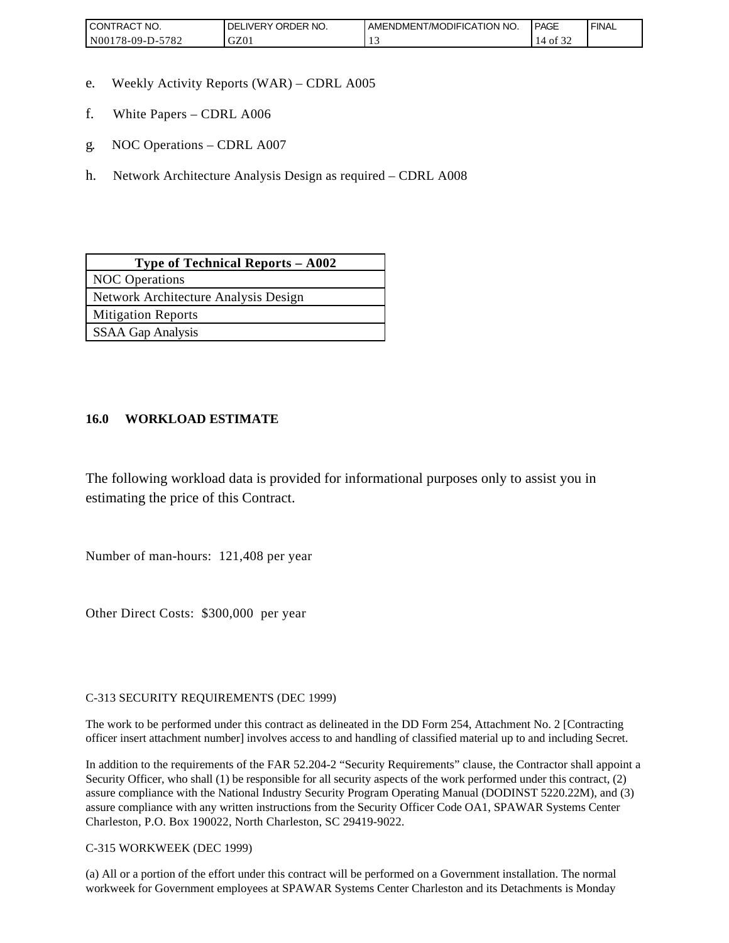| <b>CONTRACT NO.</b>    | ' ORDER NO.<br><b>DELIVERY</b> | AMENDMENT/MODIFICATION NO. | <b>PAGE</b> | ' FINAL |
|------------------------|--------------------------------|----------------------------|-------------|---------|
| N00178-09-D-5<br>-5782 | GZ01                           |                            | ΟĪ<br>ے ر   |         |

- e. Weekly Activity Reports (WAR) CDRL A005
- f. White Papers CDRL A006
- g. NOC Operations CDRL A007
- h. Network Architecture Analysis Design as required CDRL A008

| Type of Technical Reports - A002     |
|--------------------------------------|
| <b>NOC</b> Operations                |
| Network Architecture Analysis Design |
| <b>Mitigation Reports</b>            |
| <b>SSAA Gap Analysis</b>             |

### **16.0 WORKLOAD ESTIMATE**

The following workload data is provided for informational purposes only to assist you in estimating the price of this Contract.

Number of man-hours: 121,408 per year

Other Direct Costs: \$300,000 per year

C-313 SECURITY REQUIREMENTS (DEC 1999)

The work to be performed under this contract as delineated in the DD Form 254, Attachment No. 2 [Contracting officer insert attachment number] involves access to and handling of classified material up to and including Secret.

In addition to the requirements of the FAR 52.204-2 "Security Requirements" clause, the Contractor shall appoint a Security Officer, who shall (1) be responsible for all security aspects of the work performed under this contract, (2) assure compliance with the National Industry Security Program Operating Manual (DODINST 5220.22M), and (3) assure compliance with any written instructions from the Security Officer Code OA1, SPAWAR Systems Center Charleston, P.O. Box 190022, North Charleston, SC 29419-9022.

C-315 WORKWEEK (DEC 1999)

(a) All or a portion of the effort under this contract will be performed on a Government installation. The normal workweek for Government employees at SPAWAR Systems Center Charleston and its Detachments is Monday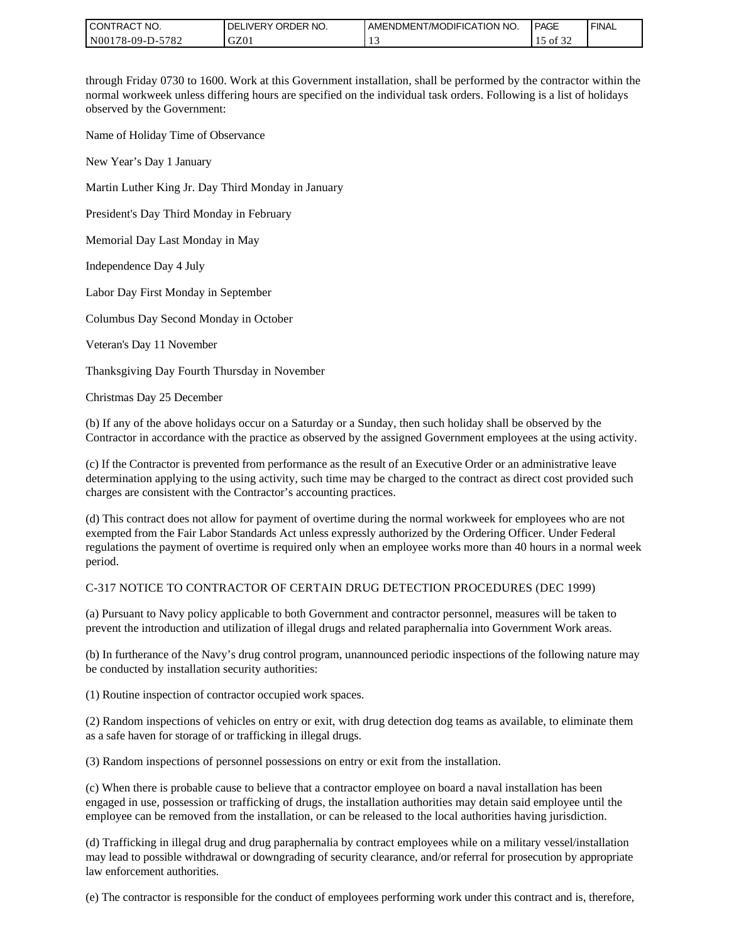| I CONTRACT NO.   | Y ORDER NO.<br><b>DELIVERY</b> | I AMENDMENT/MODIFICATION NO. | <b>PAGE</b>            | ' FINAL |
|------------------|--------------------------------|------------------------------|------------------------|---------|
| N00178-09-D-5782 | GZ01                           |                              | $\sim$ $\sim$<br>of 32 |         |

through Friday 0730 to 1600. Work at this Government installation, shall be performed by the contractor within the normal workweek unless differing hours are specified on the individual task orders. Following is a list of holidays observed by the Government:

Name of Holiday Time of Observance

New Year's Day 1 January

Martin Luther King Jr. Day Third Monday in January

President's Day Third Monday in February

Memorial Day Last Monday in May

Independence Day 4 July

Labor Day First Monday in September

Columbus Day Second Monday in October

Veteran's Day 11 November

Thanksgiving Day Fourth Thursday in November

Christmas Day 25 December

(b) If any of the above holidays occur on a Saturday or a Sunday, then such holiday shall be observed by the Contractor in accordance with the practice as observed by the assigned Government employees at the using activity.

(c) If the Contractor is prevented from performance as the result of an Executive Order or an administrative leave determination applying to the using activity, such time may be charged to the contract as direct cost provided such charges are consistent with the Contractor's accounting practices.

(d) This contract does not allow for payment of overtime during the normal workweek for employees who are not exempted from the Fair Labor Standards Act unless expressly authorized by the Ordering Officer. Under Federal regulations the payment of overtime is required only when an employee works more than 40 hours in a normal week period.

#### C-317 NOTICE TO CONTRACTOR OF CERTAIN DRUG DETECTION PROCEDURES (DEC 1999)

(a) Pursuant to Navy policy applicable to both Government and contractor personnel, measures will be taken to prevent the introduction and utilization of illegal drugs and related paraphernalia into Government Work areas.

(b) In furtherance of the Navy's drug control program, unannounced periodic inspections of the following nature may be conducted by installation security authorities:

(1) Routine inspection of contractor occupied work spaces.

(2) Random inspections of vehicles on entry or exit, with drug detection dog teams as available, to eliminate them as a safe haven for storage of or trafficking in illegal drugs.

(3) Random inspections of personnel possessions on entry or exit from the installation.

(c) When there is probable cause to believe that a contractor employee on board a naval installation has been engaged in use, possession or trafficking of drugs, the installation authorities may detain said employee until the employee can be removed from the installation, or can be released to the local authorities having jurisdiction.

(d) Trafficking in illegal drug and drug paraphernalia by contract employees while on a military vessel/installation may lead to possible withdrawal or downgrading of security clearance, and/or referral for prosecution by appropriate law enforcement authorities.

(e) The contractor is responsible for the conduct of employees performing work under this contract and is, therefore,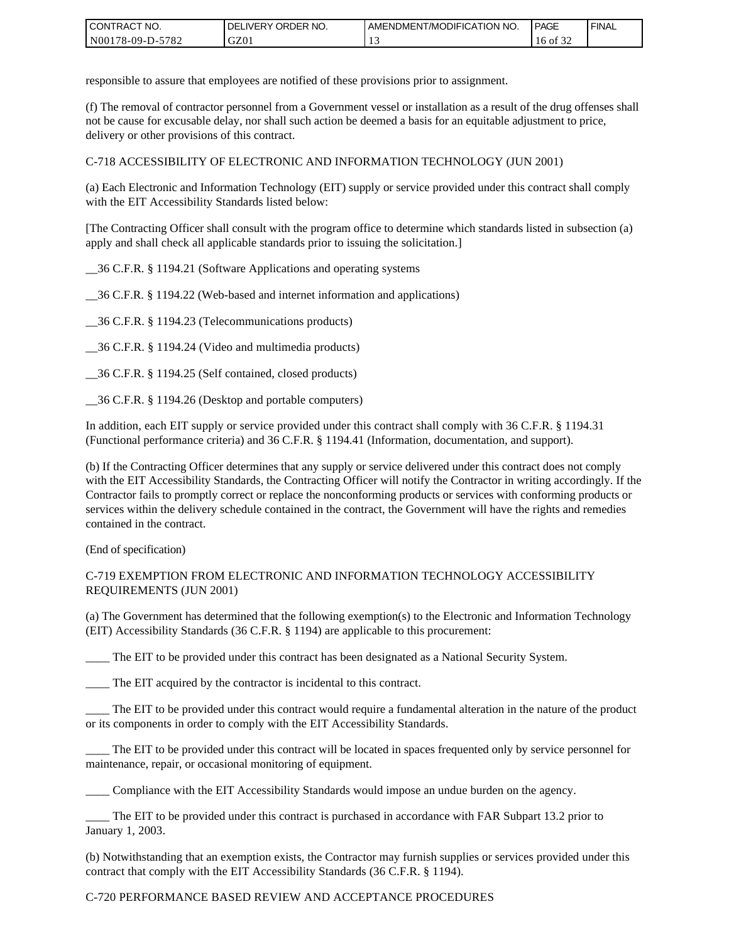| I CONTRACT NO.         | ORDER<br>NO.<br><b>DELIVERY</b> | AMENDMENT/MODIFICATION NO. | <b>PAGE</b>                   | ' FINAL |
|------------------------|---------------------------------|----------------------------|-------------------------------|---------|
| N00178-09-D-5<br>-5782 | GZ01                            |                            | $\sim$ $\sim$ $\sim$<br>16 of |         |

responsible to assure that employees are notified of these provisions prior to assignment.

(f) The removal of contractor personnel from a Government vessel or installation as a result of the drug offenses shall not be cause for excusable delay, nor shall such action be deemed a basis for an equitable adjustment to price, delivery or other provisions of this contract.

C-718 ACCESSIBILITY OF ELECTRONIC AND INFORMATION TECHNOLOGY (JUN 2001)

(a) Each Electronic and Information Technology (EIT) supply or service provided under this contract shall comply with the EIT Accessibility Standards listed below:

[The Contracting Officer shall consult with the program office to determine which standards listed in subsection (a) apply and shall check all applicable standards prior to issuing the solicitation.]

\_\_36 C.F.R. § 1194.21 (Software Applications and operating systems

\_\_36 C.F.R. § 1194.22 (Web-based and internet information and applications)

\_\_36 C.F.R. § 1194.23 (Telecommunications products)

\_\_36 C.F.R. § 1194.24 (Video and multimedia products)

\_\_36 C.F.R. § 1194.25 (Self contained, closed products)

\_\_36 C.F.R. § 1194.26 (Desktop and portable computers)

In addition, each EIT supply or service provided under this contract shall comply with 36 C.F.R. § 1194.31 (Functional performance criteria) and 36 C.F.R. § 1194.41 (Information, documentation, and support).

(b) If the Contracting Officer determines that any supply or service delivered under this contract does not comply with the EIT Accessibility Standards, the Contracting Officer will notify the Contractor in writing accordingly. If the Contractor fails to promptly correct or replace the nonconforming products or services with conforming products or services within the delivery schedule contained in the contract, the Government will have the rights and remedies contained in the contract.

(End of specification)

#### C-719 EXEMPTION FROM ELECTRONIC AND INFORMATION TECHNOLOGY ACCESSIBILITY REQUIREMENTS (JUN 2001)

(a) The Government has determined that the following exemption(s) to the Electronic and Information Technology (EIT) Accessibility Standards (36 C.F.R. § 1194) are applicable to this procurement:

The EIT to be provided under this contract has been designated as a National Security System.

\_\_\_\_ The EIT acquired by the contractor is incidental to this contract.

\_\_\_\_ The EIT to be provided under this contract would require a fundamental alteration in the nature of the product or its components in order to comply with the EIT Accessibility Standards.

The EIT to be provided under this contract will be located in spaces frequented only by service personnel for maintenance, repair, or occasional monitoring of equipment.

\_\_\_\_ Compliance with the EIT Accessibility Standards would impose an undue burden on the agency.

\_\_\_\_ The EIT to be provided under this contract is purchased in accordance with FAR Subpart 13.2 prior to January 1, 2003.

(b) Notwithstanding that an exemption exists, the Contractor may furnish supplies or services provided under this contract that comply with the EIT Accessibility Standards (36 C.F.R. § 1194).

### C-720 PERFORMANCE BASED REVIEW AND ACCEPTANCE PROCEDURES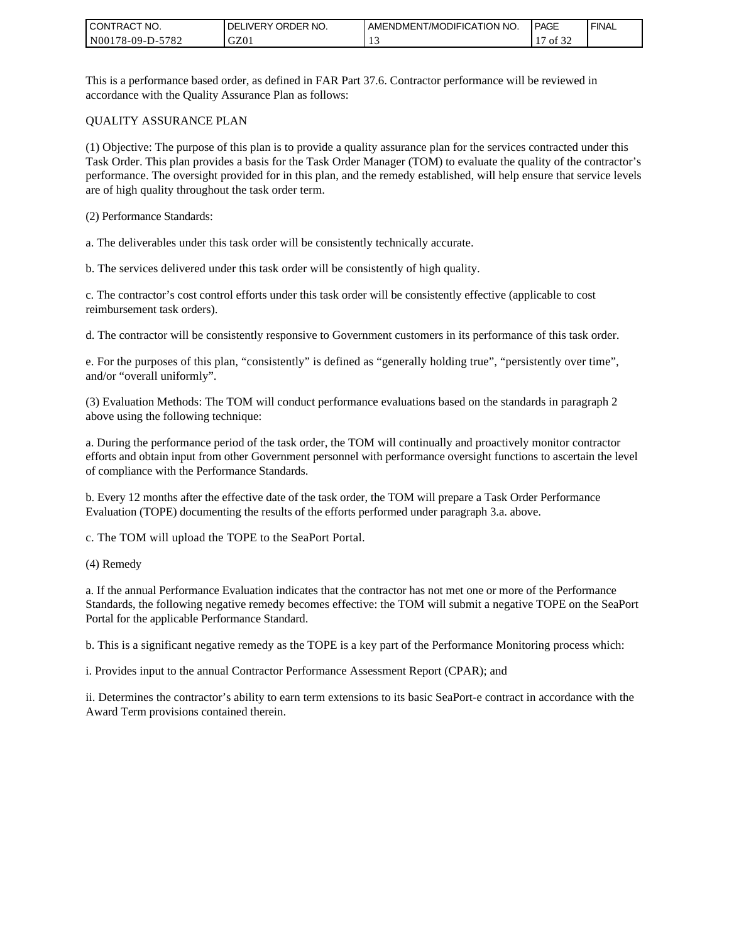| I CONT'<br>'TRACT NO. | ORDER NO.<br><b>DELIVERY</b> | AMENDMENT/MODIFICATION NO. | <b>PAGE</b> | ' FINAL |
|-----------------------|------------------------------|----------------------------|-------------|---------|
| N00178-09-D-5782      | GZ0 <sub>1</sub>             |                            | 0.25<br>ΟĪ  |         |

This is a performance based order, as defined in FAR Part 37.6. Contractor performance will be reviewed in accordance with the Quality Assurance Plan as follows:

#### QUALITY ASSURANCE PLAN

(1) Objective: The purpose of this plan is to provide a quality assurance plan for the services contracted under this Task Order. This plan provides a basis for the Task Order Manager (TOM) to evaluate the quality of the contractor's performance. The oversight provided for in this plan, and the remedy established, will help ensure that service levels are of high quality throughout the task order term.

(2) Performance Standards:

a. The deliverables under this task order will be consistently technically accurate.

b. The services delivered under this task order will be consistently of high quality.

c. The contractor's cost control efforts under this task order will be consistently effective (applicable to cost reimbursement task orders).

d. The contractor will be consistently responsive to Government customers in its performance of this task order.

e. For the purposes of this plan, "consistently" is defined as "generally holding true", "persistently over time", and/or "overall uniformly".

(3) Evaluation Methods: The TOM will conduct performance evaluations based on the standards in paragraph 2 above using the following technique:

a. During the performance period of the task order, the TOM will continually and proactively monitor contractor efforts and obtain input from other Government personnel with performance oversight functions to ascertain the level of compliance with the Performance Standards.

b. Every 12 months after the effective date of the task order, the TOM will prepare a Task Order Performance Evaluation (TOPE) documenting the results of the efforts performed under paragraph 3.a. above.

c. The TOM will upload the TOPE to the SeaPort Portal.

(4) Remedy

a. If the annual Performance Evaluation indicates that the contractor has not met one or more of the Performance Standards, the following negative remedy becomes effective: the TOM will submit a negative TOPE on the SeaPort Portal for the applicable Performance Standard.

b. This is a significant negative remedy as the TOPE is a key part of the Performance Monitoring process which:

i. Provides input to the annual Contractor Performance Assessment Report (CPAR); and

ii. Determines the contractor's ability to earn term extensions to its basic SeaPort-e contract in accordance with the Award Term provisions contained therein.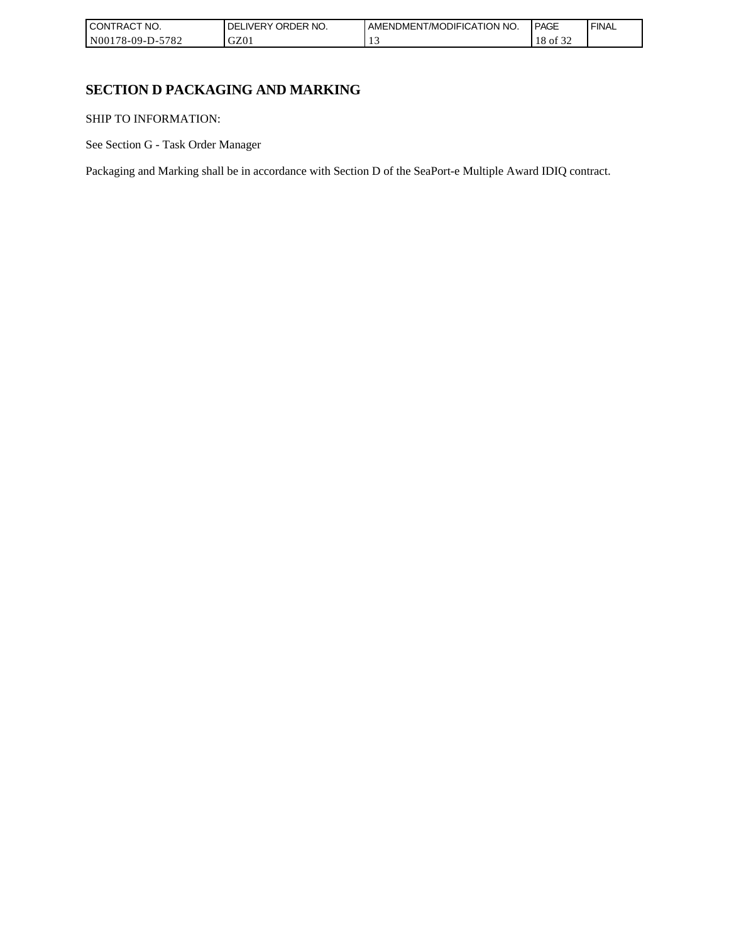| I CONT'<br>'TRACT NO.       | ORDER NO.<br>, IVFRY | I AMENDMENT/MODIFICATION NO. | <b>PAGE</b>         | <b>FINAL</b> |
|-----------------------------|----------------------|------------------------------|---------------------|--------------|
| N00178-09-D-<br>5700<br>ے ہ | GZ01                 | . .                          | $\sim$<br>ΟĪ<br>-24 |              |

# **SECTION D PACKAGING AND MARKING**

SHIP TO INFORMATION:

See Section G - Task Order Manager

Packaging and Marking shall be in accordance with Section D of the SeaPort-e Multiple Award IDIQ contract.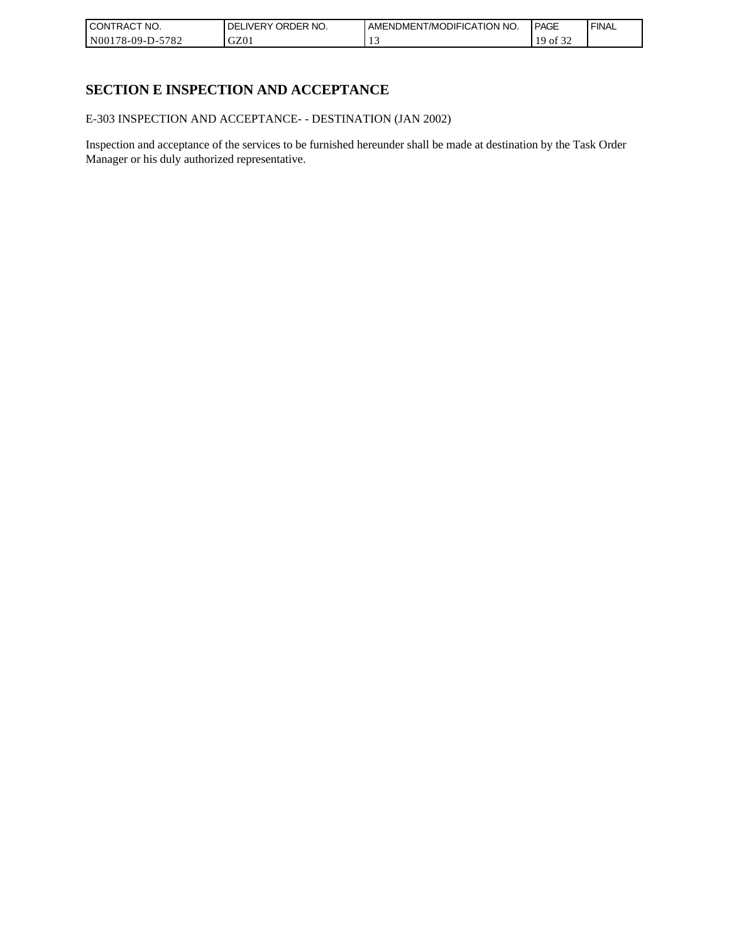| I CONTRACT NO.   | ORDER NO.<br><b>DELIVERY</b> | AMENDMENT/MODIFICATION NO. | <b>PAGE</b>                       | ' FINAL |
|------------------|------------------------------|----------------------------|-----------------------------------|---------|
| N00178-09-D-5782 | GZ0 <sub>1</sub>             |                            | $\sim$ $\sim$ $\sim$<br>1 Q<br>0Ī |         |

# **SECTION E INSPECTION AND ACCEPTANCE**

E-303 INSPECTION AND ACCEPTANCE- - DESTINATION (JAN 2002)

Inspection and acceptance of the services to be furnished hereunder shall be made at destination by the Task Order Manager or his duly authorized representative.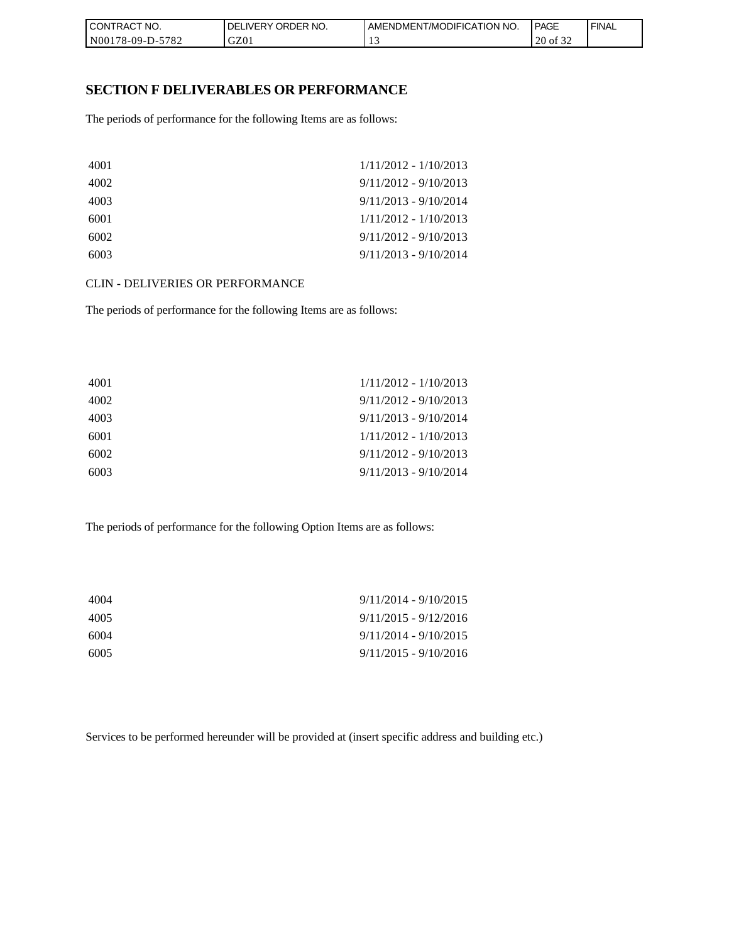| CONTRACT NO.               | NO.<br><b>ORDER</b><br><b>DELIVERY</b> | AMENDMENT/MODIFICATION NO. | PAGE                                    | <b>FINAL</b> |
|----------------------------|----------------------------------------|----------------------------|-----------------------------------------|--------------|
| $-5782$<br>  N00178-09-D-5 | GZ01                                   |                            | $\sim$ $\sim$ $\sim$<br>20<br>0Ī<br>ے ر |              |

### **SECTION F DELIVERABLES OR PERFORMANCE**

The periods of performance for the following Items are as follows:

| 4001 | $1/11/2012 - 1/10/2013$ |
|------|-------------------------|
| 4002 | $9/11/2012 - 9/10/2013$ |
| 4003 | $9/11/2013 - 9/10/2014$ |
| 6001 | $1/11/2012 - 1/10/2013$ |
| 6002 | $9/11/2012 - 9/10/2013$ |
| 6003 | $9/11/2013 - 9/10/2014$ |

CLIN - DELIVERIES OR PERFORMANCE

The periods of performance for the following Items are as follows:

| 4001 | $1/11/2012 - 1/10/2013$ |
|------|-------------------------|
| 4002 | $9/11/2012 - 9/10/2013$ |
| 4003 | $9/11/2013 - 9/10/2014$ |
| 6001 | $1/11/2012 - 1/10/2013$ |
| 6002 | $9/11/2012 - 9/10/2013$ |
| 6003 | $9/11/2013 - 9/10/2014$ |

The periods of performance for the following Option Items are as follows:

| 4004 | $9/11/2014 - 9/10/2015$ |
|------|-------------------------|
| 4005 | $9/11/2015 - 9/12/2016$ |
| 6004 | $9/11/2014 - 9/10/2015$ |
| 6005 | $9/11/2015 - 9/10/2016$ |

Services to be performed hereunder will be provided at (insert specific address and building etc.)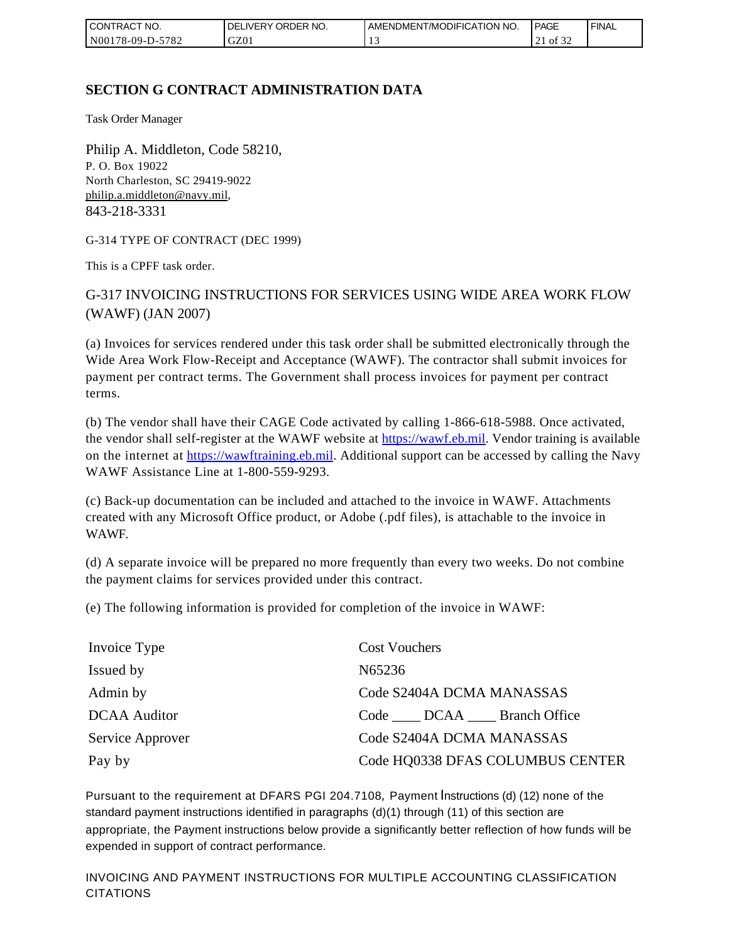| <b>CONTRACT NO.</b>               | NO.<br>ORDER<br><b>DELIVERY</b> | AMENDMENT/MODIFICATION NO. | <b>PAGE</b> | ' FINAL |
|-----------------------------------|---------------------------------|----------------------------|-------------|---------|
| N001<br>5782<br>$3178 - 09 - D -$ | GZ01                            |                            | of 32<br>∠⊥ |         |

## **SECTION G CONTRACT ADMINISTRATION DATA**

Task Order Manager

Philip A. Middleton, Code 58210, P. O. Box 19022 North Charleston, SC 29419-9022 [philip.a.middleton@navy.mil](mailto:cphilip.a.middleton@navy.mil), 843-218-3331

G-314 TYPE OF CONTRACT (DEC 1999)

This is a CPFF task order.

G-317 INVOICING INSTRUCTIONS FOR SERVICES USING WIDE AREA WORK FLOW (WAWF) (JAN 2007)

(a) Invoices for services rendered under this task order shall be submitted electronically through the Wide Area Work Flow-Receipt and Acceptance (WAWF). The contractor shall submit invoices for payment per contract terms. The Government shall process invoices for payment per contract terms.

(b) The vendor shall have their CAGE Code activated by calling 1-866-618-5988. Once activated, the vendor shall self-register at the WAWF website at [https://wawf.eb.mil.](https://wawf.eb.mil/) Vendor training is available on the internet at [https://wawftraining.eb.mil.](https://wawftraining.eb.mil/) Additional support can be accessed by calling the Navy WAWF Assistance Line at 1-800-559-9293.

(c) Back-up documentation can be included and attached to the invoice in WAWF. Attachments created with any Microsoft Office product, or Adobe (.pdf files), is attachable to the invoice in WAWF.

(d) A separate invoice will be prepared no more frequently than every two weeks. Do not combine the payment claims for services provided under this contract.

(e) The following information is provided for completion of the invoice in WAWF:

| Invoice Type        | <b>Cost Vouchers</b>                  |
|---------------------|---------------------------------------|
| Issued by           | N65236                                |
| Admin by            | Code S2404A DCMA MANASSAS             |
| <b>DCAA</b> Auditor | Code ______ DCAA ______ Branch Office |
| Service Approver    | Code S2404A DCMA MANASSAS             |
| Pay by              | Code HQ0338 DFAS COLUMBUS CENTER      |

Pursuant to the requirement at DFARS PGI 204.7108, Payment Instructions (d) (12) none of the standard payment instructions identified in paragraphs (d)(1) through (11) of this section are appropriate, the Payment instructions below provide a significantly better reflection of how funds will be expended in support of contract performance.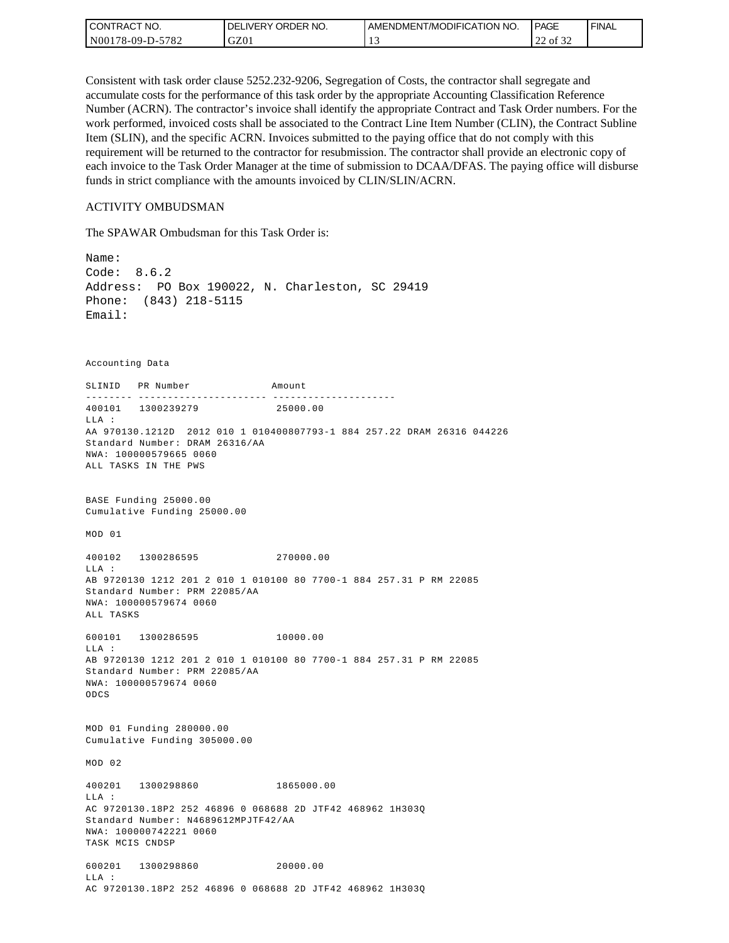| <b>CONTRACT NO.</b> | NO.<br>' ORDER<br>DELIVERY | AMENDMENT/MODIFICATION NO. | <b>PAGE</b>                      | ' FINAL |
|---------------------|----------------------------|----------------------------|----------------------------------|---------|
| N00178-09-D-5782    | GZ01                       |                            | 0.22<br>$\sim$<br>of<br>∸<br>ے ر |         |

Consistent with task order clause 5252.232-9206, Segregation of Costs, the contractor shall segregate and accumulate costs for the performance of this task order by the appropriate Accounting Classification Reference Number (ACRN). The contractor's invoice shall identify the appropriate Contract and Task Order numbers. For the work performed, invoiced costs shall be associated to the Contract Line Item Number (CLIN), the Contract Subline Item (SLIN), and the specific ACRN. Invoices submitted to the paying office that do not comply with this requirement will be returned to the contractor for resubmission. The contractor shall provide an electronic copy of each invoice to the Task Order Manager at the time of submission to DCAA/DFAS. The paying office will disburse funds in strict compliance with the amounts invoiced by CLIN/SLIN/ACRN.

#### ACTIVITY OMBUDSMAN

The SPAWAR Ombudsman for this Task Order is:

Name: Code: 8.6.2 Address: PO Box 190022, N. Charleston, SC 29419 Phone: (843) 218-5115 Email: Accounting Data SLINID PR Number Amount -------- ---------------------- ---------------------400101 1300239279 25000.00 LLA : AA 970130.1212D 2012 010 1 010400807793-1 884 257.22 DRAM 26316 044226 Standard Number: DRAM 26316/AA NWA: 100000579665 0060 ALL TASKS IN THE PWS BASE Funding 25000.00 Cumulative Funding 25000.00 MOD 01 400102 1300286595 270000.00 LLA : AB 9720130 1212 201 2 010 1 010100 80 7700-1 884 257.31 P RM 22085 Standard Number: PRM 22085/AA NWA: 100000579674 0060 ALL TASKS 600101 1300286595 10000.00 LLA : AB 9720130 1212 201 2 010 1 010100 80 7700-1 884 257.31 P RM 22085 Standard Number: PRM 22085/AA NWA: 100000579674 0060 ODCS MOD 01 Funding 280000.00 Cumulative Funding 305000.00 MOD 02 400201 1300298860 1865000.00  $T.T.A$  : AC 9720130.18P2 252 46896 0 068688 2D JTF42 468962 1H303Q Standard Number: N4689612MPJTF42/AA NWA: 100000742221 0060 TASK MCIS CNDSP 600201 1300298860 20000.00 LLA : AC 9720130.18P2 252 46896 0 068688 2D JTF42 468962 1H303Q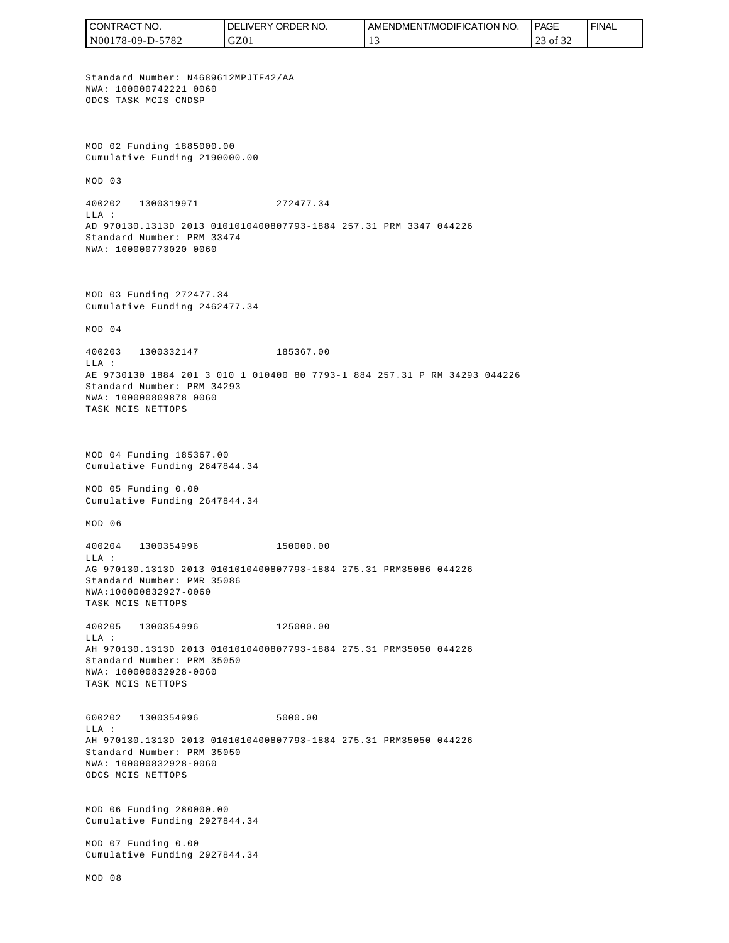CONTRACT NO. DELIVERY ORDER NO. AMENDMENT/MODIFICATION NO. **PAGE**  FINALCONTRACT NO.<br>
NO0178-09-D-5<br>
Standard Numb<br>
Non 178-09-D-5<br>
Standard Numb<br>
NNA: 10000074<br>
ODCS TASK MCI<br>
Cumulative Fu<br>
MOD 03<br>
400202 1300<br>
400202 1300<br>
LLA:<br>
AD 970130.131<br>
Standard Numb<br>
NNA: 10000077<br>
MOD 03 Fundin<br>
Cu N00178-09-D-5782 GZ01 13 23 of 32 Standard Number: N4689612MPJTF42/AA NWA: 100000742221 0060 ODCS TASK MCIS CNDSP MOD 02 Funding 1885000.00 Cumulative Funding 2190000.00 MOD 03 400202 1300319971 272477.34  $T.T.A$  : AD 970130.1313D 2013 0101010400807793-1884 257.31 PRM 3347 044226 Standard Number: PRM 33474 NWA: 100000773020 0060 MOD 03 Funding 272477.34 Cumulative Funding 2462477.34 MOD 04 400203 1300332147 185367.00 LLA : AE 9730130 1884 201 3 010 1 010400 80 7793-1 884 257.31 P RM 34293 044226 Standard Number: PRM 34293 NWA: 100000809878 0060 TASK MCIS NETTOPS MOD 04 Funding 185367.00 Cumulative Funding 2647844.34 MOD 05 Funding 0.00 Cumulative Funding 2647844.34 MOD 06 400204 1300354996 150000.00  $T.T.A$  : AG 970130.1313D 2013 0101010400807793-1884 275.31 PRM35086 044226 Standard Number: PMR 35086 NWA:100000832927-0060 TASK MCIS NETTOPS 400205 1300354996 125000.00 LLA : AH 970130.1313D 2013 0101010400807793-1884 275.31 PRM35050 044226 Standard Number: PRM 35050 NWA: 100000832928-0060 TASK MCIS NETTOPS 600202 1300354996 5000.00 LLA : AH 970130.1313D 2013 0101010400807793-1884 275.31 PRM35050 044226 Standard Number: PRM 35050 NWA: 100000832928-0060 ODCS MCIS NETTOPS MOD 06 Funding 280000.00 Cumulative Funding 2927844.34 MOD 07 Funding 0.00 Cumulative Funding 2927844.34 MOD 08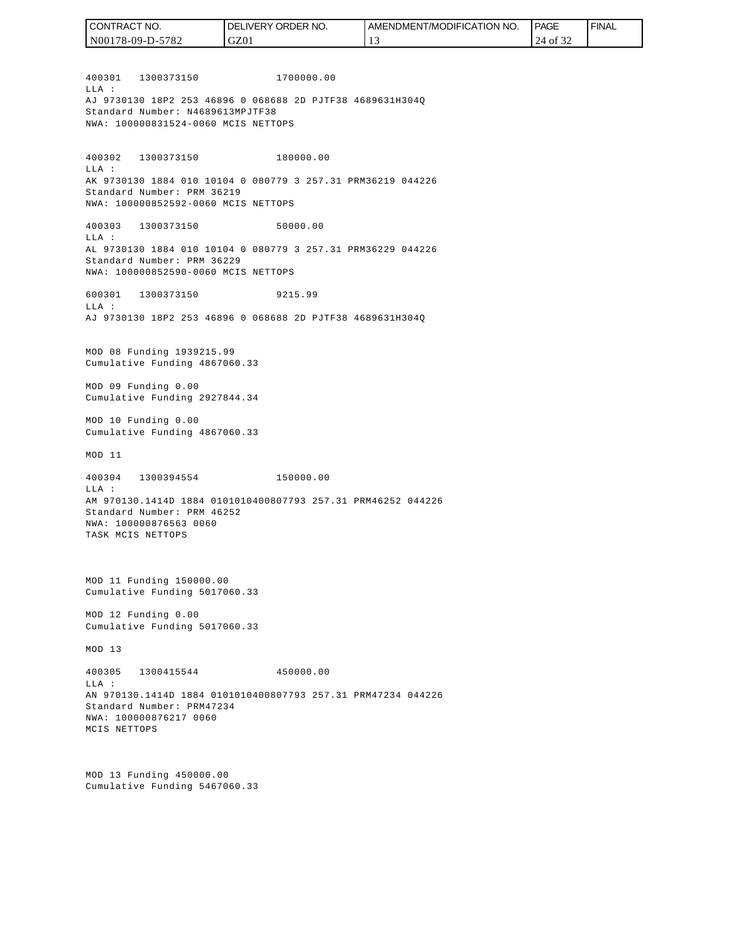400301 1300373150 1700000.00  $T.T.A$  : AJ 9730130 18P2 253 46896 0 068688 2D PJTF38 4689631H304Q Standard Number: N4689613MPJTF38 NWA: 100000831524-0060 MCIS NETTOPS 400302 1300373150 180000.00 LLA : AK 9730130 1884 010 10104 0 080779 3 257.31 PRM36219 044226 Standard Number: PRM 36219 NWA: 100000852592-0060 MCIS NETTOPS 400303 1300373150 50000.00 LLA : AL 9730130 1884 010 10104 0 080779 3 257.31 PRM36229 044226 Standard Number: PRM 36229 NWA: 100000852590-0060 MCIS NETTOPS 600301 1300373150 9215.99  $T.T.A$  : AJ 9730130 18P2 253 46896 0 068688 2D PJTF38 4689631H304Q MOD 08 Funding 1939215.99 Cumulative Funding 4867060.33 MOD 09 Funding 0.00 Cumulative Funding 2927844.34 MOD 10 Funding 0.00 Cumulative Funding 4867060.33 MOD 11 400304 1300394554 150000.00 LLA : AM 970130.1414D 1884 0101010400807793 257.31 PRM46252 044226 Standard Number: PRM 46252 NWA: 100000876563 0060 TASK MCIS NETTOPS MOD 11 Funding 150000.00 Cumulative Funding 5017060.33 MOD 12 Funding 0.00 Cumulative Funding 5017060.33 MOD 13 400305 1300415544 450000.00 LLA : AN 970130.1414D 1884 0101010400807793 257.31 PRM47234 044226 Standard Number: PRM47234 NWA: 100000876217 0060 MCIS NETTOPS MOD 13 Funding 450000.00 Cumulative Funding 5467060.33 N00178-09-D-5782 DELIVERY ORDER NO. GZ01 AMENDMENT/MODIFICATION NO. 13 24 of 32

**PAGE** 

**FINAL** 

CONTRACT NO.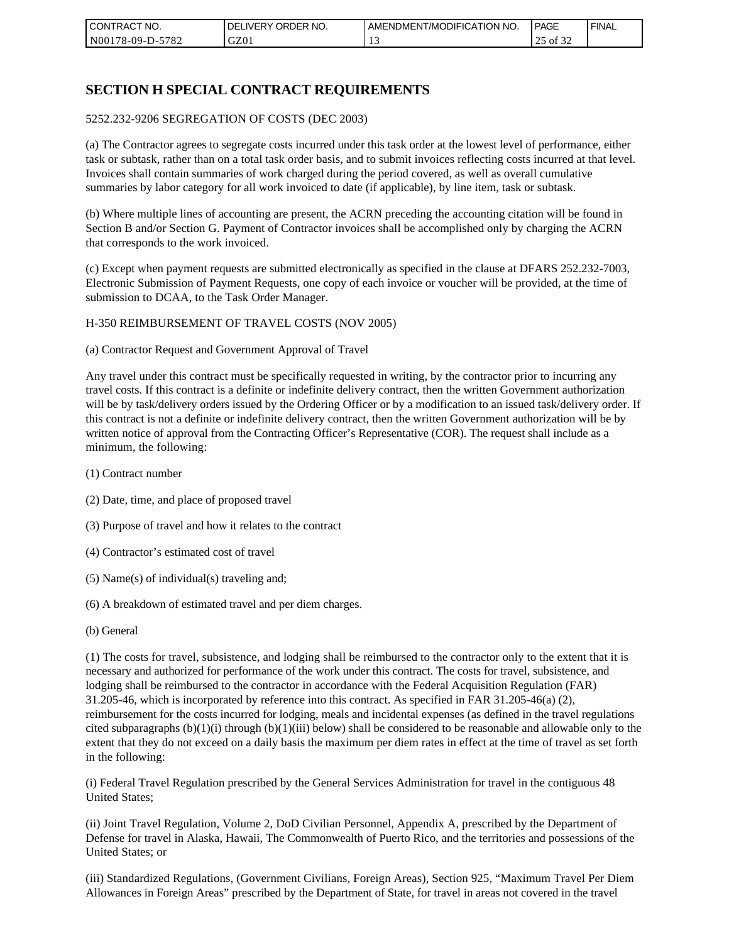| CONTRACT NO.            | ORDER NO.<br><b>DELIVERY</b> | AMENDMENT/MODIFICATION NO. | <b>PAGE</b>    | ' FINAL |
|-------------------------|------------------------------|----------------------------|----------------|---------|
| 5782<br>  N00178-09-D-5 | GZ01                         |                            | ΟĪ<br>ے ر<br>ت |         |

## **SECTION H SPECIAL CONTRACT REQUIREMENTS**

#### 5252.232-9206 SEGREGATION OF COSTS (DEC 2003)

(a) The Contractor agrees to segregate costs incurred under this task order at the lowest level of performance, either task or subtask, rather than on a total task order basis, and to submit invoices reflecting costs incurred at that level. Invoices shall contain summaries of work charged during the period covered, as well as overall cumulative summaries by labor category for all work invoiced to date (if applicable), by line item, task or subtask.

(b) Where multiple lines of accounting are present, the ACRN preceding the accounting citation will be found in Section B and/or Section G. Payment of Contractor invoices shall be accomplished only by charging the ACRN that corresponds to the work invoiced.

(c) Except when payment requests are submitted electronically as specified in the clause at DFARS 252.232-7003, Electronic Submission of Payment Requests, one copy of each invoice or voucher will be provided, at the time of submission to DCAA, to the Task Order Manager.

#### H-350 REIMBURSEMENT OF TRAVEL COSTS (NOV 2005)

(a) Contractor Request and Government Approval of Travel

Any travel under this contract must be specifically requested in writing, by the contractor prior to incurring any travel costs. If this contract is a definite or indefinite delivery contract, then the written Government authorization will be by task/delivery orders issued by the Ordering Officer or by a modification to an issued task/delivery order. If this contract is not a definite or indefinite delivery contract, then the written Government authorization will be by written notice of approval from the Contracting Officer's Representative (COR). The request shall include as a minimum, the following:

- (1) Contract number
- (2) Date, time, and place of proposed travel
- (3) Purpose of travel and how it relates to the contract
- (4) Contractor's estimated cost of travel
- (5) Name(s) of individual(s) traveling and;
- (6) A breakdown of estimated travel and per diem charges.
- (b) General

(1) The costs for travel, subsistence, and lodging shall be reimbursed to the contractor only to the extent that it is necessary and authorized for performance of the work under this contract. The costs for travel, subsistence, and lodging shall be reimbursed to the contractor in accordance with the Federal Acquisition Regulation (FAR) 31.205-46, which is incorporated by reference into this contract. As specified in FAR 31.205-46(a) (2), reimbursement for the costs incurred for lodging, meals and incidental expenses (as defined in the travel regulations cited subparagraphs  $(b)(1)(i)$  through  $(b)(1)(iii)$  below) shall be considered to be reasonable and allowable only to the extent that they do not exceed on a daily basis the maximum per diem rates in effect at the time of travel as set forth in the following:

(i) Federal Travel Regulation prescribed by the General Services Administration for travel in the contiguous 48 United States;

(ii) Joint Travel Regulation, Volume 2, DoD Civilian Personnel, Appendix A, prescribed by the Department of Defense for travel in Alaska, Hawaii, The Commonwealth of Puerto Rico, and the territories and possessions of the United States; or

(iii) Standardized Regulations, (Government Civilians, Foreign Areas), Section 925, "Maximum Travel Per Diem Allowances in Foreign Areas" prescribed by the Department of State, for travel in areas not covered in the travel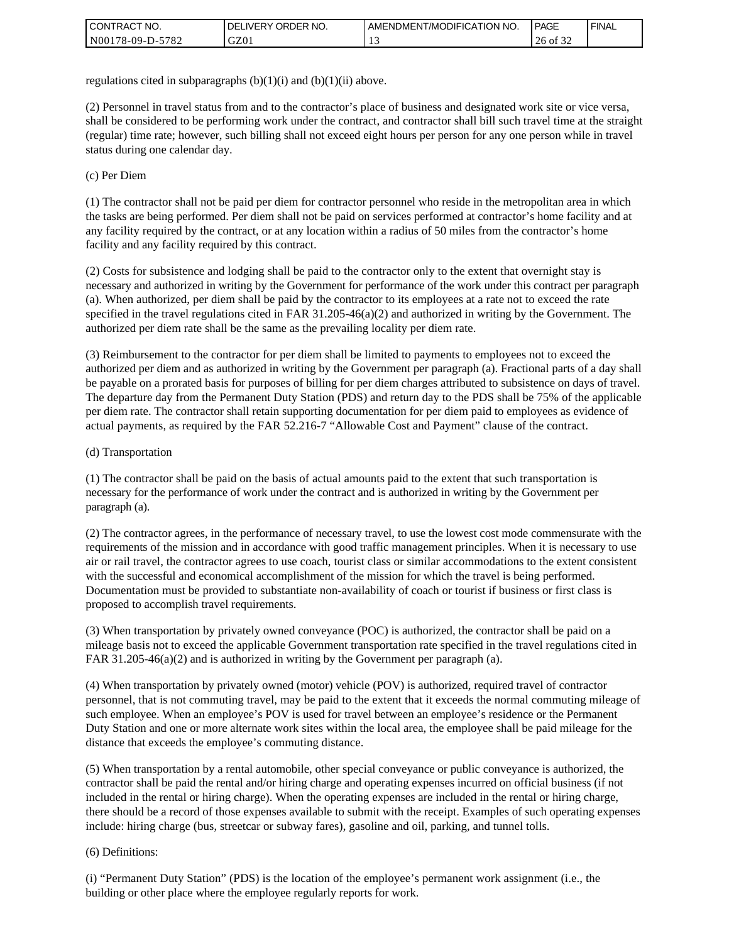| I CONTRACT NO.   | ' ORDER NO.<br><b>DELIVERY</b> | <b>I AMENDMENT/MODIFICATION NO.</b> | <b>PAGE</b> | <b>FINAL</b> |
|------------------|--------------------------------|-------------------------------------|-------------|--------------|
| N00178-09-D-5782 | GZ01                           | . .                                 | 26<br>of 32 |              |

regulations cited in subparagraphs  $(b)(1)(i)$  and  $(b)(1)(ii)$  above.

(2) Personnel in travel status from and to the contractor's place of business and designated work site or vice versa, shall be considered to be performing work under the contract, and contractor shall bill such travel time at the straight (regular) time rate; however, such billing shall not exceed eight hours per person for any one person while in travel status during one calendar day.

(c) Per Diem

(1) The contractor shall not be paid per diem for contractor personnel who reside in the metropolitan area in which the tasks are being performed. Per diem shall not be paid on services performed at contractor's home facility and at any facility required by the contract, or at any location within a radius of 50 miles from the contractor's home facility and any facility required by this contract.

(2) Costs for subsistence and lodging shall be paid to the contractor only to the extent that overnight stay is necessary and authorized in writing by the Government for performance of the work under this contract per paragraph (a). When authorized, per diem shall be paid by the contractor to its employees at a rate not to exceed the rate specified in the travel regulations cited in FAR 31.205-46(a)(2) and authorized in writing by the Government. The authorized per diem rate shall be the same as the prevailing locality per diem rate.

(3) Reimbursement to the contractor for per diem shall be limited to payments to employees not to exceed the authorized per diem and as authorized in writing by the Government per paragraph (a). Fractional parts of a day shall be payable on a prorated basis for purposes of billing for per diem charges attributed to subsistence on days of travel. The departure day from the Permanent Duty Station (PDS) and return day to the PDS shall be 75% of the applicable per diem rate. The contractor shall retain supporting documentation for per diem paid to employees as evidence of actual payments, as required by the FAR 52.216-7 "Allowable Cost and Payment" clause of the contract.

#### (d) Transportation

(1) The contractor shall be paid on the basis of actual amounts paid to the extent that such transportation is necessary for the performance of work under the contract and is authorized in writing by the Government per paragraph (a).

(2) The contractor agrees, in the performance of necessary travel, to use the lowest cost mode commensurate with the requirements of the mission and in accordance with good traffic management principles. When it is necessary to use air or rail travel, the contractor agrees to use coach, tourist class or similar accommodations to the extent consistent with the successful and economical accomplishment of the mission for which the travel is being performed. Documentation must be provided to substantiate non-availability of coach or tourist if business or first class is proposed to accomplish travel requirements.

(3) When transportation by privately owned conveyance (POC) is authorized, the contractor shall be paid on a mileage basis not to exceed the applicable Government transportation rate specified in the travel regulations cited in FAR 31.205-46(a)(2) and is authorized in writing by the Government per paragraph (a).

(4) When transportation by privately owned (motor) vehicle (POV) is authorized, required travel of contractor personnel, that is not commuting travel, may be paid to the extent that it exceeds the normal commuting mileage of such employee. When an employee's POV is used for travel between an employee's residence or the Permanent Duty Station and one or more alternate work sites within the local area, the employee shall be paid mileage for the distance that exceeds the employee's commuting distance.

(5) When transportation by a rental automobile, other special conveyance or public conveyance is authorized, the contractor shall be paid the rental and/or hiring charge and operating expenses incurred on official business (if not included in the rental or hiring charge). When the operating expenses are included in the rental or hiring charge, there should be a record of those expenses available to submit with the receipt. Examples of such operating expenses include: hiring charge (bus, streetcar or subway fares), gasoline and oil, parking, and tunnel tolls.

#### (6) Definitions:

(i) "Permanent Duty Station" (PDS) is the location of the employee's permanent work assignment (i.e., the building or other place where the employee regularly reports for work.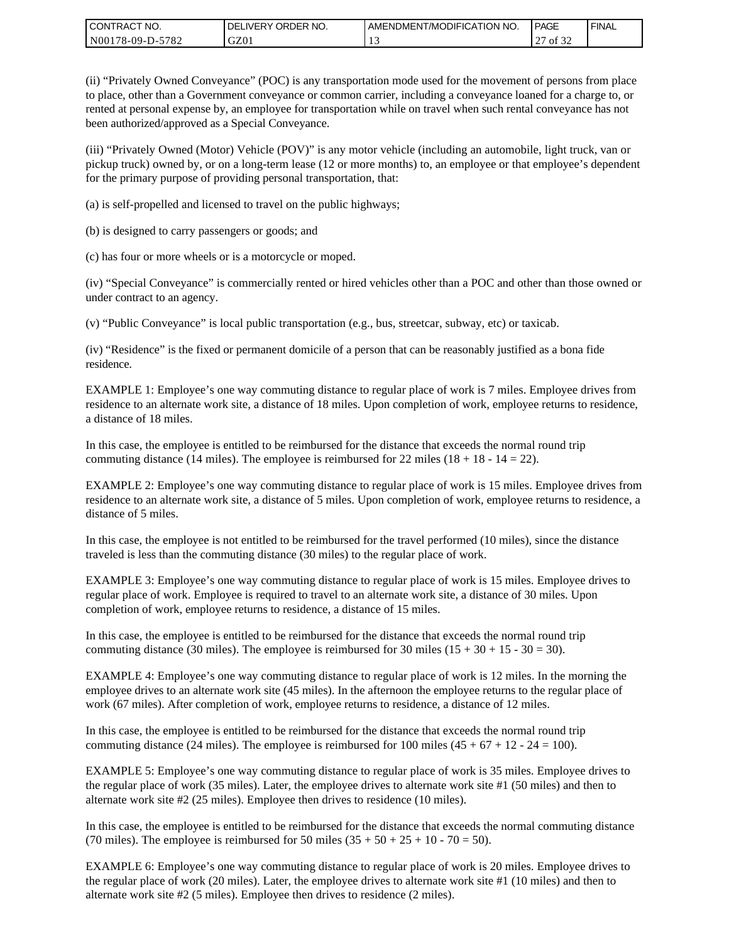| I CONTRACT NO.   | ' ORDER NO.<br>DELIVERY | <b>LAMENDMENT/MODIFICATION NO.</b> | PAGE         | ' FINAL |
|------------------|-------------------------|------------------------------------|--------------|---------|
| N00178-09-D-5782 | GZ01                    |                                    | of 32<br>ا ت |         |

(ii) "Privately Owned Conveyance" (POC) is any transportation mode used for the movement of persons from place to place, other than a Government conveyance or common carrier, including a conveyance loaned for a charge to, or rented at personal expense by, an employee for transportation while on travel when such rental conveyance has not been authorized/approved as a Special Conveyance.

(iii) "Privately Owned (Motor) Vehicle (POV)" is any motor vehicle (including an automobile, light truck, van or pickup truck) owned by, or on a long-term lease (12 or more months) to, an employee or that employee's dependent for the primary purpose of providing personal transportation, that:

(a) is self-propelled and licensed to travel on the public highways;

(b) is designed to carry passengers or goods; and

(c) has four or more wheels or is a motorcycle or moped.

(iv) "Special Conveyance" is commercially rented or hired vehicles other than a POC and other than those owned or under contract to an agency.

(v) "Public Conveyance" is local public transportation (e.g., bus, streetcar, subway, etc) or taxicab.

(iv) "Residence" is the fixed or permanent domicile of a person that can be reasonably justified as a bona fide residence.

EXAMPLE 1: Employee's one way commuting distance to regular place of work is 7 miles. Employee drives from residence to an alternate work site, a distance of 18 miles. Upon completion of work, employee returns to residence, a distance of 18 miles.

In this case, the employee is entitled to be reimbursed for the distance that exceeds the normal round trip commuting distance (14 miles). The employee is reimbursed for 22 miles (18 + 18 - 14 = 22).

EXAMPLE 2: Employee's one way commuting distance to regular place of work is 15 miles. Employee drives from residence to an alternate work site, a distance of 5 miles. Upon completion of work, employee returns to residence, a distance of 5 miles.

In this case, the employee is not entitled to be reimbursed for the travel performed (10 miles), since the distance traveled is less than the commuting distance (30 miles) to the regular place of work.

EXAMPLE 3: Employee's one way commuting distance to regular place of work is 15 miles. Employee drives to regular place of work. Employee is required to travel to an alternate work site, a distance of 30 miles. Upon completion of work, employee returns to residence, a distance of 15 miles.

In this case, the employee is entitled to be reimbursed for the distance that exceeds the normal round trip commuting distance (30 miles). The employee is reimbursed for 30 miles  $(15 + 30 + 15 - 30 = 30)$ .

EXAMPLE 4: Employee's one way commuting distance to regular place of work is 12 miles. In the morning the employee drives to an alternate work site (45 miles). In the afternoon the employee returns to the regular place of work (67 miles). After completion of work, employee returns to residence, a distance of 12 miles.

In this case, the employee is entitled to be reimbursed for the distance that exceeds the normal round trip commuting distance (24 miles). The employee is reimbursed for 100 miles  $(45 + 67 + 12 - 24 = 100)$ .

EXAMPLE 5: Employee's one way commuting distance to regular place of work is 35 miles. Employee drives to the regular place of work (35 miles). Later, the employee drives to alternate work site #1 (50 miles) and then to alternate work site #2 (25 miles). Employee then drives to residence (10 miles).

In this case, the employee is entitled to be reimbursed for the distance that exceeds the normal commuting distance (70 miles). The employee is reimbursed for 50 miles  $(35 + 50 + 25 + 10 - 70 = 50)$ .

EXAMPLE 6: Employee's one way commuting distance to regular place of work is 20 miles. Employee drives to the regular place of work (20 miles). Later, the employee drives to alternate work site #1 (10 miles) and then to alternate work site #2 (5 miles). Employee then drives to residence (2 miles).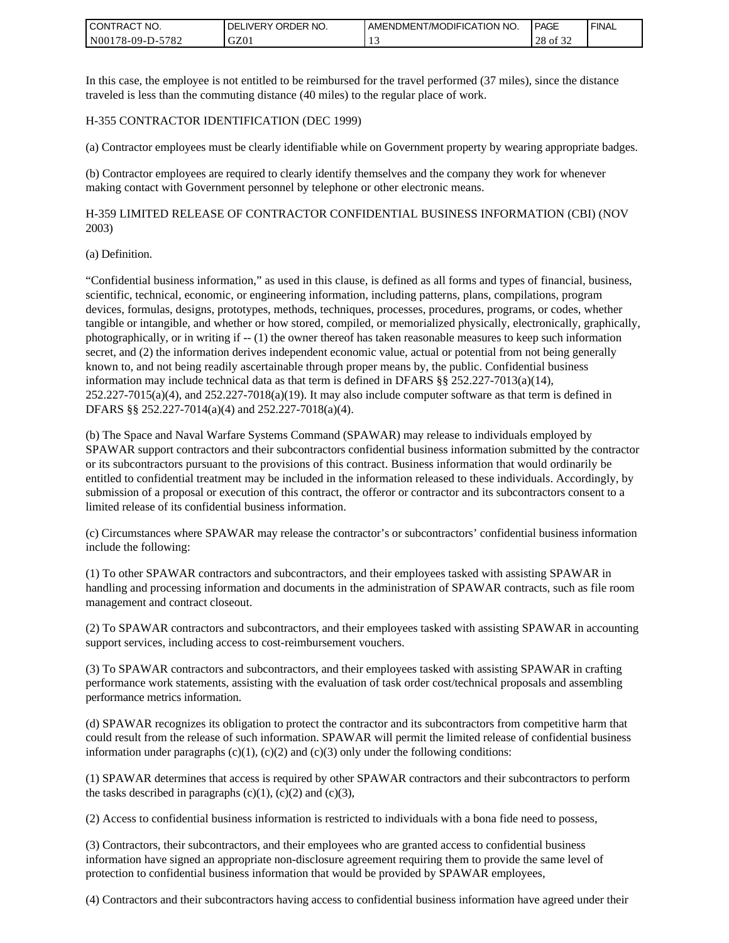| <b>CONTRACT NO.</b> | ' ORDER NO.<br><b>DELIVERY</b> | I AMENDMENT/MODIFICATION NO. | PAGE        | ' FINAL |
|---------------------|--------------------------------|------------------------------|-------------|---------|
| N00178-09-D-5782    | GZ0 <sub>1</sub>               |                              | 28<br>of 32 |         |

In this case, the employee is not entitled to be reimbursed for the travel performed (37 miles), since the distance traveled is less than the commuting distance (40 miles) to the regular place of work.

#### H-355 CONTRACTOR IDENTIFICATION (DEC 1999)

(a) Contractor employees must be clearly identifiable while on Government property by wearing appropriate badges.

(b) Contractor employees are required to clearly identify themselves and the company they work for whenever making contact with Government personnel by telephone or other electronic means.

H-359 LIMITED RELEASE OF CONTRACTOR CONFIDENTIAL BUSINESS INFORMATION (CBI) (NOV 2003)

#### (a) Definition.

"Confidential business information," as used in this clause, is defined as all forms and types of financial, business, scientific, technical, economic, or engineering information, including patterns, plans, compilations, program devices, formulas, designs, prototypes, methods, techniques, processes, procedures, programs, or codes, whether tangible or intangible, and whether or how stored, compiled, or memorialized physically, electronically, graphically, photographically, or in writing if -- (1) the owner thereof has taken reasonable measures to keep such information secret, and (2) the information derives independent economic value, actual or potential from not being generally known to, and not being readily ascertainable through proper means by, the public. Confidential business information may include technical data as that term is defined in DFARS §§ 252.227-7013(a)(14),  $252.227-7015(a)(4)$ , and  $252.227-7018(a)(19)$ . It may also include computer software as that term is defined in DFARS §§ 252.227-7014(a)(4) and 252.227-7018(a)(4).

(b) The Space and Naval Warfare Systems Command (SPAWAR) may release to individuals employed by SPAWAR support contractors and their subcontractors confidential business information submitted by the contractor or its subcontractors pursuant to the provisions of this contract. Business information that would ordinarily be entitled to confidential treatment may be included in the information released to these individuals. Accordingly, by submission of a proposal or execution of this contract, the offeror or contractor and its subcontractors consent to a limited release of its confidential business information.

(c) Circumstances where SPAWAR may release the contractor's or subcontractors' confidential business information include the following:

(1) To other SPAWAR contractors and subcontractors, and their employees tasked with assisting SPAWAR in handling and processing information and documents in the administration of SPAWAR contracts, such as file room management and contract closeout.

(2) To SPAWAR contractors and subcontractors, and their employees tasked with assisting SPAWAR in accounting support services, including access to cost-reimbursement vouchers.

(3) To SPAWAR contractors and subcontractors, and their employees tasked with assisting SPAWAR in crafting performance work statements, assisting with the evaluation of task order cost/technical proposals and assembling performance metrics information.

(d) SPAWAR recognizes its obligation to protect the contractor and its subcontractors from competitive harm that could result from the release of such information. SPAWAR will permit the limited release of confidential business information under paragraphs  $(c)(1)$ ,  $(c)(2)$  and  $(c)(3)$  only under the following conditions:

(1) SPAWAR determines that access is required by other SPAWAR contractors and their subcontractors to perform the tasks described in paragraphs  $(c)(1)$ ,  $(c)(2)$  and  $(c)(3)$ ,

(2) Access to confidential business information is restricted to individuals with a bona fide need to possess,

(3) Contractors, their subcontractors, and their employees who are granted access to confidential business information have signed an appropriate non-disclosure agreement requiring them to provide the same level of protection to confidential business information that would be provided by SPAWAR employees,

(4) Contractors and their subcontractors having access to confidential business information have agreed under their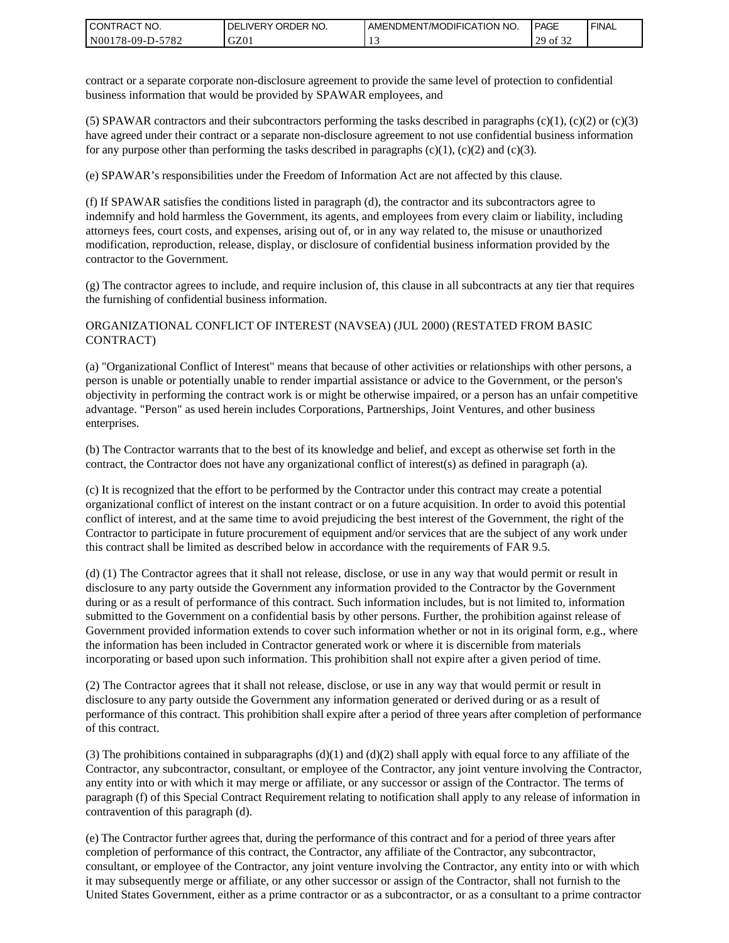| <b>CONTRACT NO.</b> | ' ORDER NO.<br><b>DELIVERY</b> | AMENDMENT/MODIFICATION NO. | <b>PAGE</b>                    | ' FINAL |
|---------------------|--------------------------------|----------------------------|--------------------------------|---------|
| N00178-09-D-5782    | GZ01                           |                            | 0.22<br>20<br>οt<br>ر _<br>ے ر |         |

contract or a separate corporate non-disclosure agreement to provide the same level of protection to confidential business information that would be provided by SPAWAR employees, and

(5) SPAWAR contractors and their subcontractors performing the tasks described in paragraphs  $(c)(1)$ ,  $(c)(2)$  or  $(c)(3)$ have agreed under their contract or a separate non-disclosure agreement to not use confidential business information for any purpose other than performing the tasks described in paragraphs  $(c)(1)$ ,  $(c)(2)$  and  $(c)(3)$ .

(e) SPAWAR's responsibilities under the Freedom of Information Act are not affected by this clause.

(f) If SPAWAR satisfies the conditions listed in paragraph (d), the contractor and its subcontractors agree to indemnify and hold harmless the Government, its agents, and employees from every claim or liability, including attorneys fees, court costs, and expenses, arising out of, or in any way related to, the misuse or unauthorized modification, reproduction, release, display, or disclosure of confidential business information provided by the contractor to the Government.

(g) The contractor agrees to include, and require inclusion of, this clause in all subcontracts at any tier that requires the furnishing of confidential business information.

#### ORGANIZATIONAL CONFLICT OF INTEREST (NAVSEA) (JUL 2000) (RESTATED FROM BASIC CONTRACT)

(a) "Organizational Conflict of Interest" means that because of other activities or relationships with other persons, a person is unable or potentially unable to render impartial assistance or advice to the Government, or the person's objectivity in performing the contract work is or might be otherwise impaired, or a person has an unfair competitive advantage. "Person" as used herein includes Corporations, Partnerships, Joint Ventures, and other business enterprises.

(b) The Contractor warrants that to the best of its knowledge and belief, and except as otherwise set forth in the contract, the Contractor does not have any organizational conflict of interest(s) as defined in paragraph (a).

(c) It is recognized that the effort to be performed by the Contractor under this contract may create a potential organizational conflict of interest on the instant contract or on a future acquisition. In order to avoid this potential conflict of interest, and at the same time to avoid prejudicing the best interest of the Government, the right of the Contractor to participate in future procurement of equipment and/or services that are the subject of any work under this contract shall be limited as described below in accordance with the requirements of FAR 9.5.

(d) (1) The Contractor agrees that it shall not release, disclose, or use in any way that would permit or result in disclosure to any party outside the Government any information provided to the Contractor by the Government during or as a result of performance of this contract. Such information includes, but is not limited to, information submitted to the Government on a confidential basis by other persons. Further, the prohibition against release of Government provided information extends to cover such information whether or not in its original form, e.g., where the information has been included in Contractor generated work or where it is discernible from materials incorporating or based upon such information. This prohibition shall not expire after a given period of time.

(2) The Contractor agrees that it shall not release, disclose, or use in any way that would permit or result in disclosure to any party outside the Government any information generated or derived during or as a result of performance of this contract. This prohibition shall expire after a period of three years after completion of performance of this contract.

(3) The prohibitions contained in subparagraphs  $(d)(1)$  and  $(d)(2)$  shall apply with equal force to any affiliate of the Contractor, any subcontractor, consultant, or employee of the Contractor, any joint venture involving the Contractor, any entity into or with which it may merge or affiliate, or any successor or assign of the Contractor. The terms of paragraph (f) of this Special Contract Requirement relating to notification shall apply to any release of information in contravention of this paragraph (d).

(e) The Contractor further agrees that, during the performance of this contract and for a period of three years after completion of performance of this contract, the Contractor, any affiliate of the Contractor, any subcontractor, consultant, or employee of the Contractor, any joint venture involving the Contractor, any entity into or with which it may subsequently merge or affiliate, or any other successor or assign of the Contractor, shall not furnish to the United States Government, either as a prime contractor or as a subcontractor, or as a consultant to a prime contractor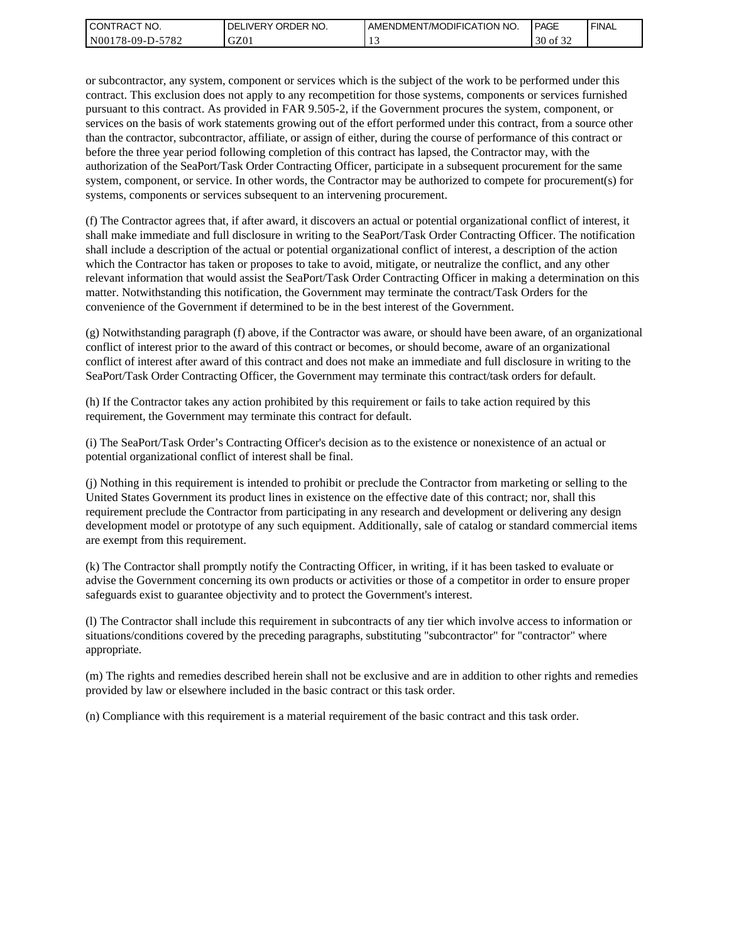| l CON <sup>-</sup><br>'TRACT NO. | NO.<br>ORDER<br>DELI<br>.IVERY | AMENDMENT/MODIFICATION NO. | <b>PAGE</b>                         | ' FINAL |
|----------------------------------|--------------------------------|----------------------------|-------------------------------------|---------|
| N00178-09-D-5<br>5782            | GZ01                           |                            | 0.22<br>$\Omega$<br>ΟĪ<br>30<br>ے ر |         |

or subcontractor, any system, component or services which is the subject of the work to be performed under this contract. This exclusion does not apply to any recompetition for those systems, components or services furnished pursuant to this contract. As provided in FAR 9.505-2, if the Government procures the system, component, or services on the basis of work statements growing out of the effort performed under this contract, from a source other than the contractor, subcontractor, affiliate, or assign of either, during the course of performance of this contract or before the three year period following completion of this contract has lapsed, the Contractor may, with the authorization of the SeaPort/Task Order Contracting Officer, participate in a subsequent procurement for the same system, component, or service. In other words, the Contractor may be authorized to compete for procurement(s) for systems, components or services subsequent to an intervening procurement.

(f) The Contractor agrees that, if after award, it discovers an actual or potential organizational conflict of interest, it shall make immediate and full disclosure in writing to the SeaPort/Task Order Contracting Officer. The notification shall include a description of the actual or potential organizational conflict of interest, a description of the action which the Contractor has taken or proposes to take to avoid, mitigate, or neutralize the conflict, and any other relevant information that would assist the SeaPort/Task Order Contracting Officer in making a determination on this matter. Notwithstanding this notification, the Government may terminate the contract/Task Orders for the convenience of the Government if determined to be in the best interest of the Government.

(g) Notwithstanding paragraph (f) above, if the Contractor was aware, or should have been aware, of an organizational conflict of interest prior to the award of this contract or becomes, or should become, aware of an organizational conflict of interest after award of this contract and does not make an immediate and full disclosure in writing to the SeaPort/Task Order Contracting Officer, the Government may terminate this contract/task orders for default.

(h) If the Contractor takes any action prohibited by this requirement or fails to take action required by this requirement, the Government may terminate this contract for default.

(i) The SeaPort/Task Order's Contracting Officer's decision as to the existence or nonexistence of an actual or potential organizational conflict of interest shall be final.

(j) Nothing in this requirement is intended to prohibit or preclude the Contractor from marketing or selling to the United States Government its product lines in existence on the effective date of this contract; nor, shall this requirement preclude the Contractor from participating in any research and development or delivering any design development model or prototype of any such equipment. Additionally, sale of catalog or standard commercial items are exempt from this requirement.

(k) The Contractor shall promptly notify the Contracting Officer, in writing, if it has been tasked to evaluate or advise the Government concerning its own products or activities or those of a competitor in order to ensure proper safeguards exist to guarantee objectivity and to protect the Government's interest.

(l) The Contractor shall include this requirement in subcontracts of any tier which involve access to information or situations/conditions covered by the preceding paragraphs, substituting "subcontractor" for "contractor" where appropriate.

(m) The rights and remedies described herein shall not be exclusive and are in addition to other rights and remedies provided by law or elsewhere included in the basic contract or this task order.

(n) Compliance with this requirement is a material requirement of the basic contract and this task order.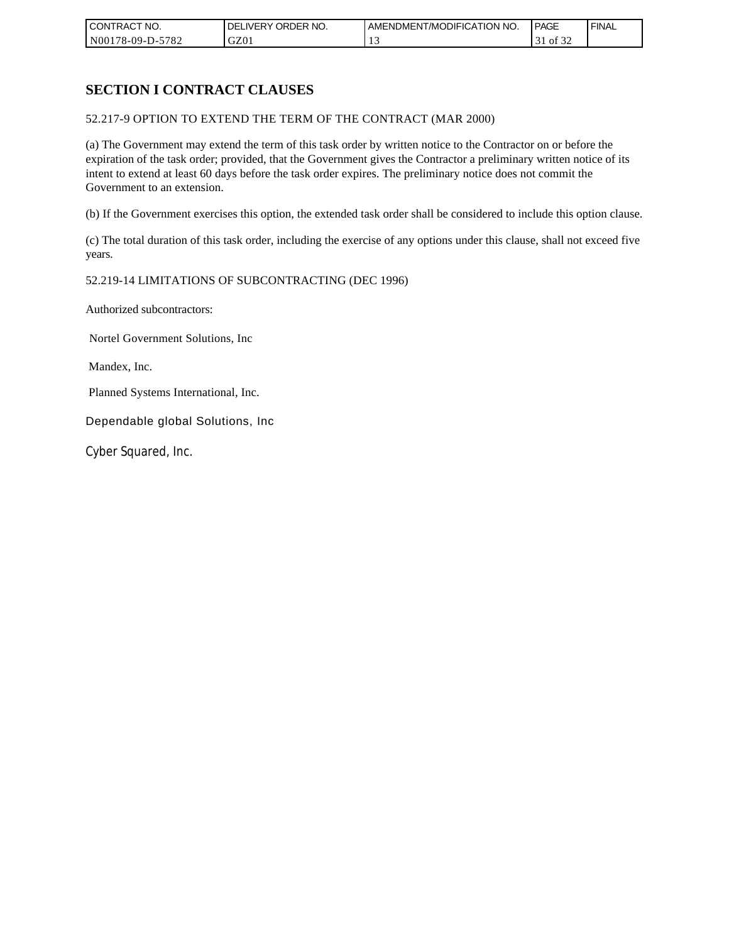| CONTRACT NO.     | ORDER <sup>'</sup><br>NO.<br><b>DELIVERY</b> | AMENDMENT/MODIFICATION NO. | PAGE            | <b>FINAL</b> |
|------------------|----------------------------------------------|----------------------------|-----------------|--------------|
| N00178-09-D-5782 | GZ01                                         |                            | 0Ī<br>51<br>ے ر |              |

## **SECTION I CONTRACT CLAUSES**

52.217-9 OPTION TO EXTEND THE TERM OF THE CONTRACT (MAR 2000)

(a) The Government may extend the term of this task order by written notice to the Contractor on or before the expiration of the task order; provided, that the Government gives the Contractor a preliminary written notice of its intent to extend at least 60 days before the task order expires. The preliminary notice does not commit the Government to an extension.

(b) If the Government exercises this option, the extended task order shall be considered to include this option clause.

(c) The total duration of this task order, including the exercise of any options under this clause, shall not exceed five years.

### 52.219-14 LIMITATIONS OF SUBCONTRACTING (DEC 1996)

Authorized subcontractors:

Nortel Government Solutions, Inc

Mandex, Inc.

Planned Systems International, Inc.

Dependable global Solutions, Inc

Cyber Squared, Inc.